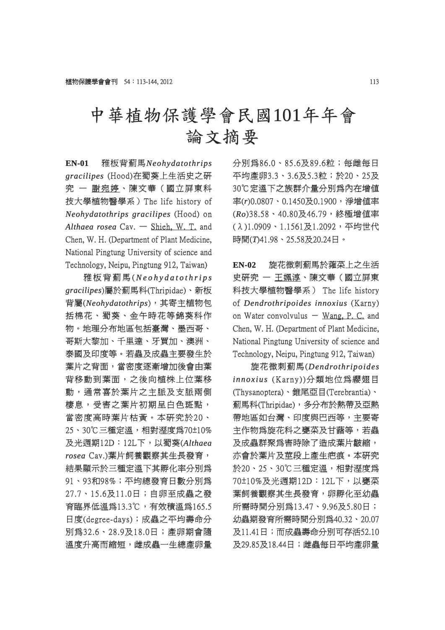## 中華植物保護學會民國101年年會 論文摘要

**EN-01** 雅板背薊馬*Neohydatothrips eohydatothrips gracilipes racilipes*(Hood)在蜀葵上生活史之研 究 一 謝宛婷、陳文華(國立屏東科 技大學植物醫學系) The life history of *Neohydatothrips gracilipes* (Hood) on Althaea rosea Cav. - Shieh, W. T. and Chen, W. H. (Department of Plant Medicine, National Pingtung University of science and Technology, Neipu, Pingtung 912, Taiwan)

推板背薊馬(Neohydatothrips *gracilipes racilipes*)屬於薊馬科(Thripidae)、新板 屬於薊馬科(Thripidae)、新板 背屬(Neohydatothrips),其寄主植物包 括棉花、蜀葵、金午時花等錦葵科作 物。地理分布地區包括臺灣、墨西哥、 哥斯大黎加、千里達、牙買加、澳洲、 泰國及印度等。若蟲及成蟲主要發生於 葉片之背面,當密度逐漸增加後會由葉 背移動到葉面,之後向植株上位葉移 動,通常喜於葉片之主脈及支脈兩側 棲息,受害之葉片初期呈白色斑點, 息,受害之葉片初期呈白色斑點, 當密度高時葉片枯黃。本研究於20、 25、30℃三種定溫,相對溼度為70±10% 及光週期12D:12L下, 以蜀葵(Althaea *rosea*Cav.)葉片飼養觀察其生長發育, 結果顯示於三種定溫下其孵化率分別爲 91、93和98%;平均總發育日數分別為 27.7、15.6及11.0日;自卵至成蟲之發 7.7、15.6及11.0日;自卵至成蟲之發 育臨界低溫爲13.3℃,有效積溫爲165.5 日度(degree-days);成蟲之平均壽命分 別為32.6、28.9及18.0日;產卵期會隨 為32.6、28.9及18.0日;產卵期會隨 溫度升高而縮短,雌成蟲一生總產卵量 分別為86.0、85.6及89.6粒;每雌每日 平均產卵3.3、3.6及5.3粒;於20、25及 30℃定溫下之族群介量分別爲內在增值 率(r)0.0807、0.1450及0.1900,淨增值率 (*Ro*)38.58、40.80及46.79,終極增值率 38.58、40.80及46.79,終極增值率 (λ)1.0909、1.1561及1.2092,平均世代 λ)1.0909、1.1561及1.2092,平均世代 時間(T)41.98、25.58及20.24日。

**EN-02** 旋花微刺薊馬於蕹菜上之生活 史研究 一 王姵淳、陳文華(國立屏東 科技大學植物醫學系) The life history of *Dendrothripoides innoxius* (Karny) on Water convolvulus  $-$  Wang, P. C. and Chen, W. H. (Department of Plant Medicine, National Pingtung University of science and Technology, Neipu, Pingtung 912, Taiwan)

旋花微刺薊馬(*Dendrothripoides endrothripoides*  innoxius (Karny))分類地位爲纓翅目 (Thysanoptera)、錐尾亞目(Terebrantia)、 Thysanoptera)、錐尾亞目(Terebrantia)、 薊馬科(Thripidae),多分布於熱帶及亞熱 馬科(Thripidae),多分布於熱帶及亞熱 帶地區如台灣、印度與巴西等,主要寄 主作物為旋花科之甕菜及甘藷等,若蟲 及成蟲群聚為害時除了造成葉片皺縮, 亦會於葉片及莖段上產生疤痕。本研究 於20、25、30℃三種定溫,相對溼度為 70±10%及光週期12D:12L下,以甕菜 0±10%及光週期12D:12L下,以甕菜 葉飼養觀察其生長發育,卵孵化至幼蟲 所需時間分別爲13.47、9.96及5.80日; 幼蟲期發育所需時間分別爲40.32、20.07 及11.41日;而成蟲壽命分別可存活52.10 11.41日;而成蟲壽命分別可存活52.10 及29.85及18.44日;雌蟲每日平均產卵量 29.85及18.44日;雌蟲每日平均產卵量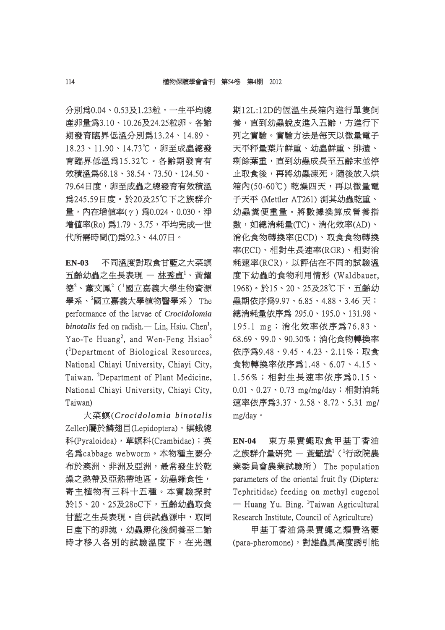分別為0.04、0.53及1.23粒,一生平均總 別為0.04、0.53及1.23粒,一生平均總 產卵量為3.10、10.26及24.25粒卵。各齡 期發育臨界低溫分別為13.24、14.89、 18.23、11.90、14.73℃,卵至成蟲總發 8.23、11.90、14.73℃,卵至成蟲總發 育臨界低溫為15.32℃。各齡期發育有 臨界低溫為15.32℃。各齡期發育有 效積溫爲68.18、38.54、73.50、124.50、 79.64日度,卵至成蟲之總發育有效積溫 為245.59日度。於20及25℃下之族群介 245.59日度。於20及25℃下之族群介 量,內在增值率(γ)為 $0.024 \cdot 0.030$ ,淨 增值率(Ro) 為1.79、3.75, 平均完成一世 代所需時間(T)為92.3、44.07日。

**EN-03** 不同溫度對取食甘藍之大菜螟 五齡幼蟲之生長表現 — 林秀貞<sup>1</sup>、黃耀 德 $^{2}$ 、蕭文鳳 $^{2}$ ('國立嘉義大學生物資源 學系、 ${}^{2}$ 國立嘉義大學植物醫學系) The performance of the larvae of *Crocidolomia binotalis* fed on radish. — Lin, Hsiu. Chen<sup>1</sup>, Yao-Te Huang<sup>2</sup>, and Wen-Feng Hsiao<sup>2</sup> (<sup>1</sup>Department of Biological Resources, National Chiayi University, Chiayi City, Taiwan. <sup>2</sup>Department of Plant Medicine, National Chiayi University, Chiayi City, Taiwan)

大菜螟(*Crocidolomia binotalis roc idolomia*  Zeller)屬於鱗翅目(Lepidoptera),螟蛾總 科(Pyraloidea),草螟科(Crambidae);英 (Pyraloidea),草螟科(Crambidae);英 名爲cabbage webworm。本物種主要分 布於澳洲、非洲及亞洲,最常發生於乾 燥之熱帶及亞熱帶地區。幼蟲雜食性, 寄主植物有三科十五種。本實驗探討 於15、20、25及28oC下,五齡幼蟲取食 15、20、25及28oC下,五齡幼蟲取食 甘藍之生長表現。自供試蟲源中,取同 日產下的卵塊,幼蟲孵化後飼養至二齡 時才移入各別的試驗溫度下,在光週 期12L:12D的恆溫生長箱內進行單隻飼 養,直到幼蟲蛻皮進入五齡,方進行下 列之實驗。實驗方法是每天以微量電子 天平秤量葉片鮮重、幼蟲鮮重、排遺、 剩餘葉重,直到幼蟲成長至五齡末並停 止取食後,再將幼蟲凍死,隨後放入烘 箱內(50-60℃) 乾燥四天,再以微量電 子天平 (Mettler AT261) 測其幼蟲乾重、 幼蟲糞便重量。將數據換算成營養指 數,如總消耗量(TC)、消化效率(AD)、 消化食物轉換率(ECD)、取食食物轉換 率(ECI)、相對生長速率(RGR)、相對消 (ECI)、相對生長速率(RGR)、相對消 耗速率(RCR),以評估在不同的試驗溫 度下幼蟲的食物利用情形 (Waldbauer, 1968)。於15、20、25及28℃下,五齡幼 968)。於15、20、25及28℃下,五齡幼 蟲期依序爲9.97、6.85、4.88、3.46 天; 總消耗量依序為 295.0、195.0、131.98、 195.1 mg;消化效率依序為76.83、 68.69、99.0、90.30%;消化食物轉換率 8.69、99.0、90.30%;消化食物轉換率 依序為9.48、9.45、4.23、2.11%;取食 食物轉換率依序為1.48、6.07、4.15、 物轉換率依序為1.48、6.07、4.15、 1.56%;相對生長速率依序為0.15、 . 5 6%;相對生長速率依序為0 . 1 5、  $0.01 \cdot 0.27 \cdot 0.73$  mg/mg/day;相對消耗 速率依序為3.37、2.58、8.72、5.31 mg/ mg/day。

**EN-04** 東方果實蠅取食甲基丁香油 之族群介量研究 一 黃毓斌1 ( 行政院農 業委員會農業試驗所) The population parameters of the oriental fruit fly (Diptera: Tephritidae) feeding on methyl eugenol — Huang Yu. Bing. <sup>1</sup>Taiwan Agricultural Research Institute, Council of Agriculture)

甲基丁香油為果實蠅之類費洛蒙 (para-pheromone),對雄蟲具高度誘引能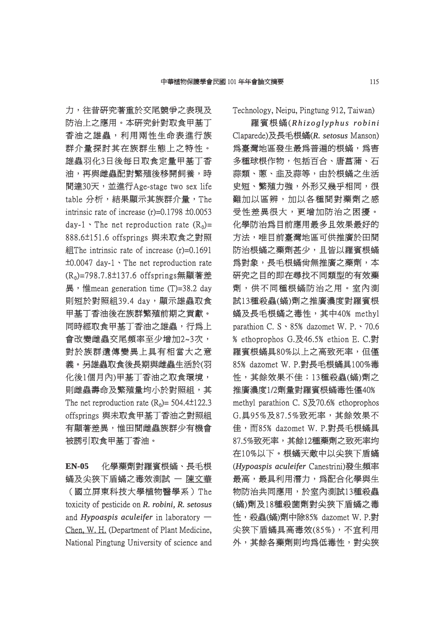力,往昔研究著重於交尾競爭之表現及 防治上之應用。本研究針對取食甲基丁 香油之雄蟲,利用兩性生命表進行族 群介量探討其在族群生態上之特性。 雄蟲羽化3日後每日取食定量甲基丁香 油,再與雌蟲配對繁殖後移開飼養,時 間達30天,並進行Age-stage two sex life table 分析,結果顯示其族群介量, The intrinsic rate of increase  $(r)=0.1798 \pm 0.0053$ day-1  $\cdot$  The net reproduction rate (R<sub>0</sub>)= 888.6±151.6 offsprings 與未取食之對照 88.6±151.6 紀The intrinsic rate of increase  $(r)=0.1691$  $\pm 0.0047$  day-1  $\cdot$  The net reproduction rate  $(R<sub>0</sub>)$ =798.7.8±137.6 offsprings無顯著差 異, 惟mean generation time  $(T)=38.2$  day 則短於對照組39.4 day,顯示雄蟲取食 甲基丁香油後在族群繁殖前期之貢獻。 同時經取食甲基丁香油之雄蟲,行為上 會改變雌蟲交尾頻率至少增加2~3次, 對於族群遺傳變異上具有相當大之意 義。另雄蟲取食後長期與雌蟲生活於(羽 化後1個月內)甲基丁香油之取食環境, 則雌蟲壽命及繁殖量均小於對照組,其 The net reproduction rate  $(R_0)$  = 504.4±122.3 offsprings 與未取食甲基丁香油之對照組 有顯著差異,惟田間雌蟲族群少有機會 被誘引取食甲基丁香油。

**EN-05** 化學藥劑對羅賓根蟎、長毛根 蟎及尖狹下盾蟎之毒效測試 一 陳文華 (國立屏東科技大學植物醫學系)The 國立屏東科技大學植物醫學系)The toxicity of pesticide on *R. robini*, *R. setosus* and *Hypoaspis aculeifer* in laboratory  $-$ Chen, W. H. (Department of Plant Medicine, National Pingtung University of science and Technology, Neipu, Pingtung 912, Taiwan)

羅賓根蟎(*Rhizoglyphus robini h iz o g l y p h u s ro b i n i* Claparede)及長毛根蟎(R. setosus Manson) 為臺灣地區發生最為普遍的根蟎,為害 多種球根作物,包括百合、唐菖蒲、石 蒜類、蔥、韭及蒜等,由於根蟎之生活 史短、繁殖力強,外形又幾乎相同,很 短、繁殖力強,外形又幾乎相同,很 難加以區辨,加以各種間對藥劑之感 受性差異很大,更增加防治之困擾。 化學防治為目前應用最多且效果最好的 方法,唯目前臺灣地區可供推廣於田間 防治根蟎之藥劑甚少,且皆以羅賓根蟎 爲對象,長毛根蟎尙無推廣之藥劑,本 研究之目的即在尋找不同類型的有效藥 劑,供不同種根蟎防治之用。室內測 試13種殺蟲(蟎)劑之推廣濃度對羅賓根 蟎及長毛根蟎之毒性,其中40﹪methyl 及長毛根蟎之毒性,其中40﹪methyl parathion C. S  $\cdot$  85% dazomet W. P.  $\cdot$  70.6 ﹪ethoprophos G.及46.5﹪ethion E. C.對 ethoprophos 羅賓根蟎具80%以上之高致死率,但僅 85% dazomet W. P.對長毛根蟎具100%毒 性,其餘效果不佳;13種殺蟲(蟎)劑之 推廣濃度1/2劑量對羅賓根蟎毒性僅40% methyl parathion C. S及70.6% ethoprophos G.具95%及87.5%致死率,其餘效果不 佳,而85% dazomet W. P.對長毛根蟎具 87.5%致死率,其餘12種藥劑之致死率均 在10%以下。根蟎天敵中以尖狹下盾蟎 (Hypoaspis aculeifer Canestrini)發生頻率 最高,最具利用潛力,為配合化學與生 物防治共同應用,於室內測試13種殺蟲 (蟎)劑及18種殺菌劑對尖狹下盾蟎之毒 性, 殺蟲(蟎)劑中除85% dazomet W. P.對 尖狹下盾蟎具高毒效(85%),不宜利用 外,其餘各藥劑則均爲低毒性,對尖狹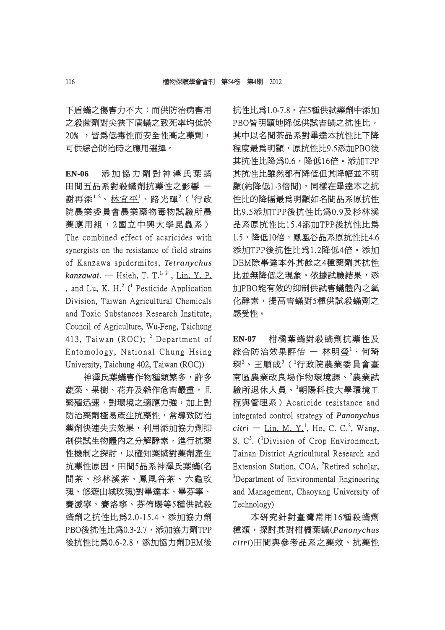下盾蟎之傷害力不大;而供防治病害用 之殺菌劑對尖狹下盾蟎之致死率均低於 20%, 皆為低毒性而安全性高之藥劑, 可供綜合防治時之應用選擇。

**EN-06** 添加協力劑對神澤氏葉蟎 添 加 協 力 劑 對 神 澤 氏 葉 蟎 田間五品系對殺蟎劑抗藥性之影響 – 謝再添 $^{1,2} \cdot$  林宜平 $^{1} \cdot$  路光暉 $^{2}$  (  $^{1}$ 行政 院農業委員會農業藥物毒物試驗所農 藥應用組,2國立中興大學昆蟲系) The combined effect of acaricides with synergists on the resistance of field strains of Kanzawa spidermites, Tetranychus *kanzawai*. — Hsieh, T. T.<sup>1, 2</sup>, Lin, Y. P. , and Lu, K. H.<sup>2</sup> (<sup>1</sup> Pesticide Application Division, Taiwan Agricultural Chemicals and Toxic Substances Research Institute, Council of Agriculture, Wu-Feng, Taichung 413, Taiwan (ROC);  $^2$  Department of Entomology, National Chung Hsing University, Taichung 402, Taiwan (ROC))

神澤氏葉蟎害作物種類繁多,許多 蔬菜、果樹、花卉及雜作危害嚴重,且 繁殖迅速,對環境之適應力強,加上對 防治藥劑極易產生抗藥性,常導致防治 藥劑快速失去效果,利用添加協力劑抑 制供試生物體內之分解酵素,進行抗藥 性機制之探討,以確知葉蟎對藥劑產生 抗藥性原因。田間5品系神澤氏葉蟎(名 間茶、杉林溪茶、鳳凰谷茶、六龜玫 瑰、悠遊山城玫瑰)對畢達本、畢芬寧、 賽滅寧、賽洛寧、芬佈賜等5種供試殺 蟎劑之抗性比為2.0-15.4,添加協力劑 劑之抗性比為2.0-15.4,添加協力劑 PBO後抗性比爲0.3-2.7, 添加協力劑TPP 後抗性比為0.6-2.8,添加協力劑DEM後 抗性比為0.6-2.8,添加協力劑DEM後 抗性比爲1.0-7.8。在5種供試藥劑中添加 PBO皆明顯地降低供試害蟎之抗性比, 其中以名間茶品系對畢達本抗性比下降 程度最為明顯,原抗性比9.5添加PBO後 其抗性比降為0.6,降低16倍。添加TPP 其抗性比雖然都有降低但其降幅並不明 顯(約降低1-3倍間),同樣在畢達本之抗 (約降低1-3倍間),同樣在畢達本之抗 性比的降幅最為明顯如名間品系原抗性 比9.5添加TPP後抗性比為0.9及杉林溪 9.5添加TPP後抗性比為0.9及杉林溪 品系原抗性比15.4添加TPP後抗性比爲 1.5,降低10倍,鳳凰谷品系原抗性比4.6 添加TPP後抗性比為1.2降低4倍。添加 DEM除畢達本外其餘之4種藥劑其抗性 比並無降低之現象。依據試驗結果,添 加PBO能有效的抑制供試害蟎體內之氧 化酵素,提高害蟎對5種供試殺蟎劑之 感受性。

**EN-07** 柑橘葉蟎對殺蟎劑抗藥性及 綜合防治效果評估 — <u>林明瑩<sup>1</sup>、何</u>琦  $\mathcal{R}^2$ 、王順成 $^3$ ( $^1$ 行政院農業委員會臺 南區農業改良場作物環境課、<sup>2</sup>農業試 驗所退休人員、<sup>3</sup>朝陽科技大學環境工 程與管理系) Acaricide resistance and integrated control strategy of *Panonychus*  $\textit{citri}$  — Lin, M. Y.<sup>1</sup>, Ho, C. C.<sup>2</sup>, Wang, S.  $C^3$ . (<sup>1</sup>Division of Crop Environment, Tainan District Agricultural Research and Extension Station, COA, <sup>2</sup>Retired scholar,  $3$ Department of Environmental Engineering and Management, Chaoyang University of Technology)

本研究針對臺灣常用16種殺蟎劑 種類,探討其對柑橘葉蟎( 類,探討其對柑橘葉蟎(*Panonychus anonychus*   $citri$ )田間與參考品系之藥效、抗藥性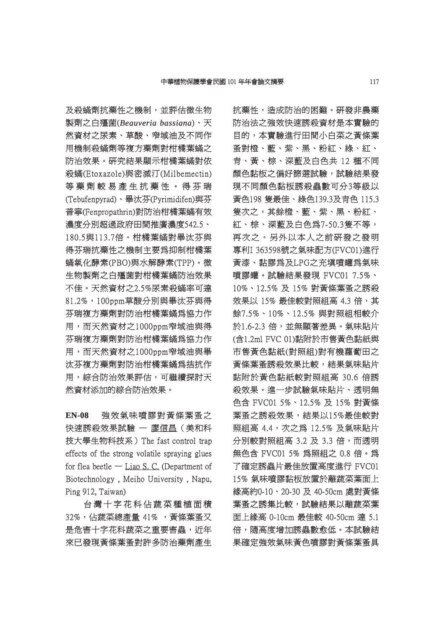及殺蟎劑抗藥性之機制,並評估微生物 製劑之白殭菌(Beauveria bassiana)、天 然資材之尿素、草酸、窄域油及不同作 用機制殺蟎劑等複方藥劑對柑橘葉蟎之 防治效果。研究結果顯示柑橘葉蟎對依 殺蟎(Etoxazole)與密滅汀(Milbemectin) 蟎(Etoxazole)與密滅汀(Milbemectin) 等藥劑較易產生抗藥性。得芬瑞 藥 劑 較 易 產 生 抗 藥 性 。 得 芬 瑞 (Tebufenpyrad)、畢汰芬(Pyrimidifen)與芬 Tebufenpyrad)、畢汰芬(Pyrimidifen)與芬 普寧(Fenpropathrin)對防治柑橘葉蟎有效 濃度分別超過政府田間推廣濃度542.5、 180.5與113.7倍。柑橘葉蟎對畢汰芬與 得芬瑞抗藥性之機制主要爲抑制柑橘葉 蟎氧化酵素(PBO)與水解酵素(TPP)。微 氧化酵素(PBO)與水解酵素(TPP)。微 生物製劑之白殭菌對柑橘葉蟎防治效果 不佳。天然資材之2.5%尿素殺蟎率可達 81.2%,100ppm草酸分別與畢汰芬與得 1.2%,100ppm草酸分別與畢汰芬與得 芬瑞複方藥劑對防治柑橘葉蟎為協力作 用,而天然資材之1000ppm窄域油與得 芬瑞複方藥劑對防治柑橘葉蟎爲協力作 用,而天然資材之1000ppm窄域油與畢 汰芬複方藥劑對防治柑橘葉蟎為拮抗作 用,綜合防治效果評估,可繼續探討天 然資材添加的綜合防治效果。

**EN-08** 強效氣味噴膠對黃條葉蚤之 快速誘殺效果試驗 一 廖信昌(美和科 技大學生物科技系) The fast control trap effects of the strong volatile spraying glues for flea beetle — Liao S. C. (Department of Biotechnology , Meiho University , Napu, Ping 912, Taiwan)

台灣十字花科佔蔬菜種植面積 32%,佔蔬菜總產量 41%, 黃條葉蚤又 是危害十字花科蔬菜之重要害蟲,近年 來已發現黃條葉蚤對許多防治藥劑產生 抗藥性,造成防治的困難。研發非農藥 防治法之強效快速誘殺資材是本實驗的 日的,本實驗進行田間小白菜之黃條葉 蚤對橙、藍、紫、黑、粉紅、綠、紅、 青、黃、棕、深藍及白色共 12 種不同 顏色黏板之偏好篩選試驗,試驗結果發 現不同顏色黏板誘殺蟲數可分3等級以 黃色198 隻最佳、綠色139.3及青色 115.3 隻次之,其餘橙、藍、紫、黑、粉紅、 紅、棕、深藍及白色為7-50.3隻不等, 、棕、深藍及白色為7-50.3隻不等, 再次之。另外以本人之前研發之發明 專利I 363598號之氣味配方(FVC01)進行 黄漆、黏膠為及LPG之充填噴罐爲氣味 噴膠罐。試驗結果發現 FVC01 7.5%、 膠罐。試驗結果發現 10%、12.5% 及 15% 對黃條葉蚤之誘殺 0%、12.5% 效果以 15% 最佳較對照組高 4.3 倍,其 餘7.5%、10%、12.5% 與對照組相較介 7.5%、10%、12.5% 於1.6-2.3 倍,並無顯著差異。氣味貼片 1.6-2.3 (含1.2ml FVC 01)黏附於市售黃色黏紙與 市售黃色黏紙(對照組)對有機蘿蔔田之 黃條葉蚤誘殺效果比較,結果氣味貼片 黏附於黃色黏紙較對照組高 30.6 倍誘 殺效果。進一步試驗氣味貼片、透明無 色含 FVC01 5%、12.5% 及 15% 對黃條 葉蚤之誘殺效果,結果以15%最佳較對 照組高 4.4,次之為 12.5% 及氣味貼片 分別較對照組高 3.2 及 3.3 倍,而透明 無色含 FVC01 5% 為照組之 0.8 倍。為 了確定誘蟲片最佳放置高度進行 FVC01 15% 氣味噴膠黏板放置於離蔬菜葉面上 綠高約0-10、20-30 及 40-50cm 處對黃條 葉蚤之誘集比較,試驗結果以離蔬菜葉 面上緣高 0-10cm 最佳較 40-50cm 達 5.1 倍,隨高度增加誘蟲數愈低。本試驗結 果確定強效氣味黃色噴膠對黃條葉蚤具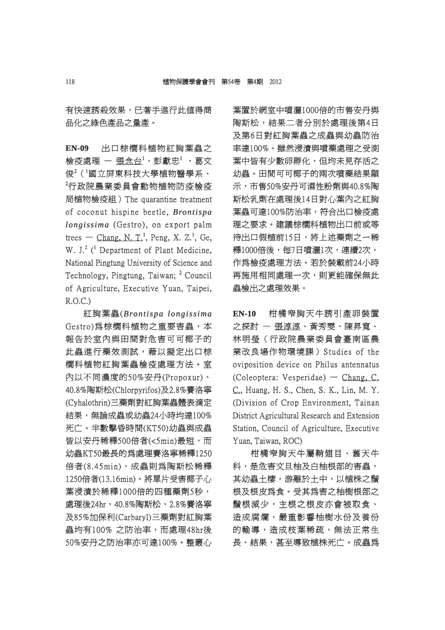有快速誘殺效果,已著手進行此值得商 品化之綠色產品之量產。

**EN-09** 出口棕櫚科植物紅胸葉蟲之 檢疫處理 — 張念台<sup>1</sup>、彭獻忠<sup>1</sup> 、葛文 俊 $^2$ ( $^1$ 國立屏東科技大學植物醫學系、  ${}^{2}$ 行政院農業委員會動物植物防疫檢疫 局植物檢疫組) The quarantine treatment of coconut hispine beetle, *Brontispa longissima* (Gestro), on export palm trees — Chang, N. T.<sup>1</sup>, Peng, X. Z.<sup>1</sup>, Ge, W. J.<sup>2</sup> (<sup>1</sup> Department of Plant Medicine, National Pingtung University of Science and Technology, Pingtung, Taiwan; <sup>2</sup> Council of Agriculture, Executive Yuan, Taipei, R.O.C.)

紅胸葉蟲(*Brontispa longissima rontispa*  Gestro)為棕櫚科植物之重要害蟲,本 報告於室內與田間對危害可可椰子的 此蟲進行藥效測試,藉以擬定出口棕 櫚科植物紅胸葉蟲檢疫處理方法。室 內以不同濃度的50%安丹(Propoxur)、 以不同濃度的50%安丹(Propoxur)、 40.8%陶斯松(Chlorpyrifos)及2.8%賽洛寧 0.8%陶斯松(Chlorpyrifos)及2.8%賽洛寧 (Cyhalothrin)三藥劑對紅胸葉蟲體表滴定 Cyhalothrin)三藥劑對紅胸葉蟲體表滴定 結果,無論成蟲或幼蟲24小時均達100% 死亡。半數擊昏時間(KT50)幼蟲與成蟲 皆以安丹稀釋500倍者(<5min)最短,而 幼蟲KT50最長的爲處理賽洛寧稀釋1250 倍者(8.45min),成蟲則爲陶斯松稀釋 1250倍者(13.16min)。將單片受害椰子心 250倍者(13.16min)。將單片受害椰子心 葉浸漬於稀釋1000倍的四種藥劑5秒, 處理後24hr,40.8%陶斯松、2.8%賽洛寧 及85%加保利(Carbaryl)三藥劑對紅胸葉 85%加保利(Carbaryl)三藥劑對紅胸葉 蟲均有100% 之防治率,而處理48hr後 50%安丹之防治率亦可達100%。整叢心 葉置於網室中噴灑1000倍的市售安丹與 陶斯松,結果二者分別於處理後第4日 及第6日對紅胸葉蟲之成蟲與幼蟲防治 率達100%。雖然浸漬與噴藥處理之受測 葉中皆有少數卵孵化,但均未見存活之 幼蟲。田間可可椰子的兩次噴藥結果顯 示,市售50%安丹可濕性粉劑與40.8%陶 斯松乳劑在處理後14日對心葉內之紅胸 葉蟲可達100%防治率,符合出口檢疫處 理之要求。建議棕櫚科植物出口前或等 待出口假植前15日,將上述藥劑之一稀 釋1000倍後,每7日噴灑1次,連續2次, 作爲檢疫處理方法。若於裝載前24小時 再施用相同處理一次,則更能確保無此 蟲檢出之處理效果。

**EN-10** 柑橘窄胸天牛誘引產卵裝置 之探討 – 張淳淳、黃秀雯、陳昇寬、 林明瑩(行政院農業委員會臺南區農 業改良場作物環境課) Studies of the oviposition device on Philus antennatus  $(Coleoptera: Vesperidae)$  - Chang, C. C., Huang, H. S., Chen, S. K., Lin, M. Y. (Division of Crop Environment, Tainan District Agricultural Research and Extension Station, Council of Agriculture, Executive Yuan, Taiwan, ROC)

柑橘窄胸天牛屬鞘翅目、舊天牛 科,是危害文旦柚及白柚根部的害蟲, 其幼蟲土棲,游離於土中,以植株之鬚 根及根皮為食。受其爲害之柚樹根部之 鬚根減少,主根之根皮亦會被取食、 造成腐爛,嚴重影響柚樹水份及養份 的輸導,造成枝葉稀疏,無法正常生 長、結果,甚至導致植株死亡。成蟲爲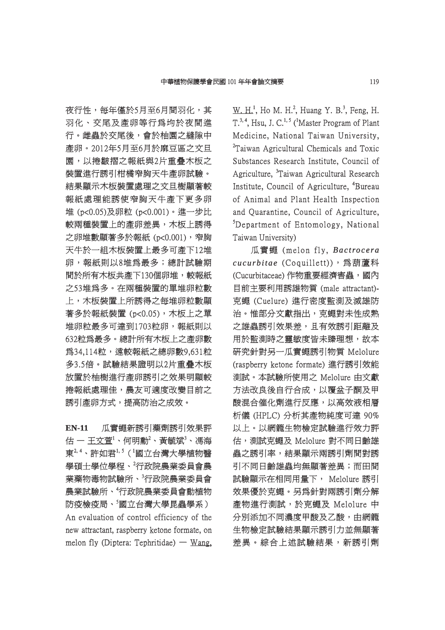夜行性,每年僅於5月至6月間羽化,其 羽化、交尾及產卵等行為均於夜間進 行。雌蟲於交尾後,會於柚園之縫隙中 産卵。2012年5月至6月於麻豆區之文旦 園,以捲皺摺之報紙與2片重疊木板之 裝置進行誘引柑橘窄胸天牛產卵試驗。 結果顯示木板裝置處理之文旦樹顯著較 報紙處理能誘使窄胸天牛產下更多卵 堆 (p<0.05)及卵粒 (p<0.001)。進一步比 (p<0.001)。進一步比 較兩種裝置上的產卵差異,木板上誘得 之卵堆數顯著多於報紙 (p<0.001), 窄胸 天牛於一組木板裝置上最多可產下12堆 卵,報紙則以8堆爲最多;總計試驗期 間於所有木板共產下130個卵堆,較報紙 之53堆為多。在兩種裝置的單堆卵粒數 53堆為多。在兩種裝置的單堆卵粒數 上,木板裝置上所誘得之每堆卵粒數顯 著多於報紙裝置 (p<0.05), 木板上之單 堆卵粒最多可達到1703粒卵,報紙則以 632粒為最多。總計所有木板上之產卵數 32粒為最多。總計所有木板上之產卵數 為34,114粒,遠較報紙之總卵數9,631粒 多3.5倍。試驗結果證明以2片重疊木板 3.5倍。試驗結果證明以2片重疊木板 放置於柚樹進行產卵誘引之效果明顯較 捲報紙處理佳,農友可適度改變目前之 誘引產卵方式,提高防治之成效。

**EN-11** 瓜實蠅新誘引藥劑誘引效果評 估 ― 王文萱'、何明勳<sup>2</sup>、黃毓斌<sup>3</sup>、馮海 東 $^{2,4}$ 、許如君 $^{1,5}$ ( $^{1}$ 國立台灣大學植物醫 學碩士學位學程、<sup>2</sup>行政院農業委員會農 業藥物毒物試驗所、<sup>3</sup>行政院農業委員會 農業試驗所、<sup>4</sup> 行政院農業委員會動植物 政院農業委員會動植物 防疫檢疫局、<sup>5</sup>國立台灣大學昆蟲學系) An evaluation of control efficiency of the new attractant, raspberry ketone formate, on melon fly (Diptera: Tephritidae) — Wang,

 $W_H$ . H.<sup>1</sup>, Ho M. H.<sup>2</sup>, Huang Y. B.<sup>3</sup>, Feng, H.  $T^{3,4}$ , Hsu, J. C.<sup>1,5</sup> (<sup>1</sup>Master Program of Plant Medicine, National Taiwan University, <sup>2</sup>Taiwan Agricultural Chemicals and Toxic Substances Research Institute, Council of Agriculture, <sup>3</sup>Taiwan Agricultural Research Institute, Council of Agriculture, <sup>4</sup>Bureau of Animal and Plant Health Inspection and Ouarantine, Council of Agriculture,  ${}^{5}$ Department of Entomology, National Taiwan University)

瓜實蠅 (melon fly, Bactrocera *cucurbitae* (Coquillett)),為葫蘆科 (Cucurbitaceae) 作物重要經濟害蟲,國內 目前主要利用誘雄物質 (male attractant)- 前主要利用誘雄物質 克蠅 (Cuelure) 進行密度監測及滅雄防 治。惟部分文獻指出,克蠅對未性成熟 之雄蟲誘引效果差,且有效誘引距離及 用於監測時之靈敏度皆未臻理想,故本 研究針對另一瓜實蠅誘引物質 Melolure (raspberry ketone formate) 進行誘引效能 測試。本試驗所使用之 Melolure 由文獻 試。本試驗所使用之 方法改良後自行合成,以覆盆子酮及甲 酸混合催化劑進行反應,以高效液相層 析儀 (HPLC) 分析其產物純度可達 90% 以上。以網籠生物檢定試驗進行效力評 估,測試克蠅及 Melolure 對不同日齡雄 蟲之誘引率,結果顯示兩誘引劑間對誘 引不同日齡雄蟲均無顯著差異;而田間 試驗顯示在相同用量下, Melolure 誘引 效果優於克蠅。另爲針對兩誘引劑分解 產物進行測試,於克蠅及 Melolure 中 物進行測試,於克蠅及 分別添加不同濃度甲酸及乙酸,由網籠 生物檢定試驗結果顯示誘引力並無顯著 差異。綜合上述試驗結果,新誘引劑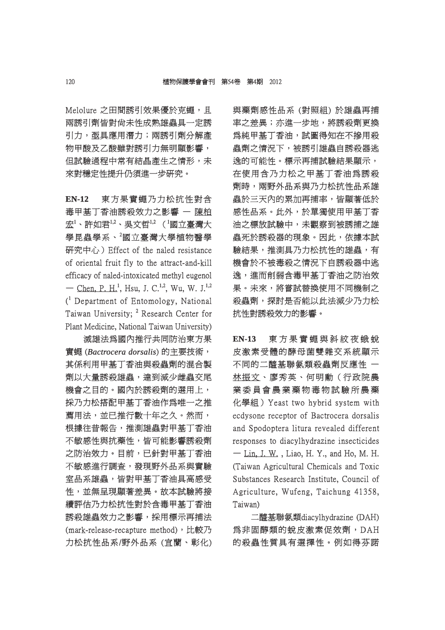Melolure 之田間誘引效果優於克蠅,且 兩誘引劑皆對尙未性成熟雄蟲具一定誘 引力, 亟具應用潛力; 兩誘引劑分解產 物甲酸及乙酸雖對誘引力無明顯影響, 但試驗過程中常有結晶產生之情形,未 來對穩定性提升仍須進一步研究。

**EN-12** 東方果實蠅乃力松抗性對含 毒甲基丁香油誘殺效力之影響 一 陳柏 宏 $^{1}$ 、許如君 $^{1,2}$ 、吳文哲 $^{1,2}$ ( $^{1}$ 國立臺灣大 學昆蟲學系、 $^2$ 國立臺灣大學植物醫學 研究中心) Effect of the naled resistance of oriental fruit fly to the attract-and-kill efficacy of naled-intoxicated methyl eugenol — Chen, P. H.<sup>1</sup>, Hsu, J. C.<sup>1,2</sup>, Wu, W. J.<sup>1,2</sup> ( 1 Department of Entomology, National Taiwan University; <sup>2</sup> Research Center for Plant Medicine, National Taiwan University)

滅雄法爲國內推行共同防治東方果 實蠅 (*Bactrocera dorsalis actrocera* ) 的主要技術, 其係利用甲基丁香油與殺蟲劑的混合製 劑以大量誘殺雄蟲,達到減少雌蟲交尾 機會之目的。國內於誘殺劑的選用上, 採乃力松搭配甲基丁香油作爲唯一之推 薦用法,並已推行數十年之久。然而, 根據往昔報告,推測雄蟲對甲基丁香油 不敏感性與抗藥性,皆可能影響誘殺劑 之防治效力。目前,已針對甲基丁香油 不敏感進行調查,發現野外品系與實驗 室品系雄蟲,皆對甲基丁香油具高感受 性,並無呈現顯著差異。故本試驗將接 續評估乃力松抗性對於含毒甲基丁香油 誘殺雄蟲效力之影響,採用標示再捕法 (mark-release-recapture method), 比較乃 力松抗性品系/野外品系 (宜蘭、彰化) 與藥劑感性品系 (對照組) 於雄蟲再捕 率之差異;亦進一步地,將誘殺劑更換 爲純甲基丁香油,試圖得知在不摻用殺 蟲劑之情況下,被誘引雄蟲自誘殺器逃 逸的可能性。標示再捕試驗結果顯示, 在使用含乃力松之甲基丁香油爲誘殺 劑時,兩野外品系與乃力松抗性品系雄 蟲於三天內的累加再捕率,皆顯著低於 感性品系。此外,於單獨使用甲基丁香 油之標放試驗中,未觀察到被誘捕之雄 蟲死於誘殺器的現象。因此,依據本試 驗結果,推測具乃力松抗性的雄蟲,有 機會於不被毒殺之情況下自誘殺器中逃 逸,進而削弱含毒甲基丁香油之防治效 果。未來,將嘗試替換使用不同機制之 殺蟲劑,探討是否能以此法減少乃力松 抗性對誘殺效力的影響。

EN-13 東方果實蠅與斜紋夜蛾蛻 皮激素受體的酵母菌雙雜交系統顯示 不同的二醯基聯氨類殺蟲劑反應性 一 林振文、廖秀英、何明勳(行政院農 業委員會農業藥物毒物試驗所農藥 化學組) Yeast two hybrid system with ecdysone receptor of Bactrocera dorsalis and Spodoptera litura revealed different responses to diacylhydrazine insecticides  $-$  Lin, J. W., Liao, H. Y., and Ho, M. H. (Taiwan Agricultural Chemicals and Toxic Substances Research Institute, Council of Agriculture, Wufeng, Taichung 41358, Taiwan)

二醯基聯氨類diacylhydrazine (DAH) 醯基聯氨類diacylhydrazine 為非固醇類的蛻皮激素促效劑,DAH 的殺蟲性質具有選擇性。例如得芬諾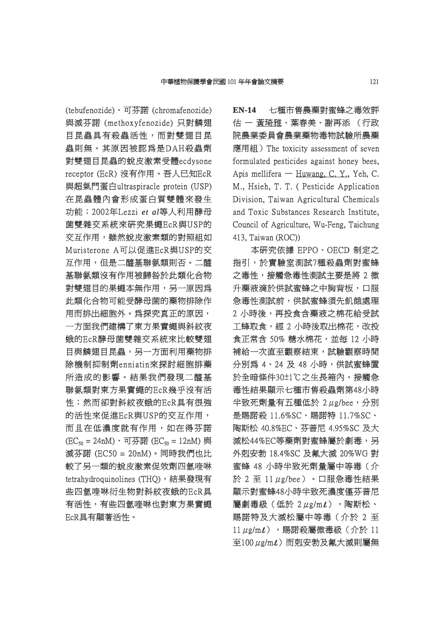(tebufenozide)、可芬諾 (chromafenozide) 與滅芬諾 (methoxyfenozide) 只對鱗翅 目昆蟲具有殺蟲活性,而對雙翅目昆 蟲則無。其原因被認為是DAH殺蟲劑 則無。其原因被認為是DAH殺蟲劑 對雙翅目昆蟲的蛻皮激素受體ecdysone 雙翅目昆蟲的蛻皮激素受體ecdysone receptor (EcR) 沒有作用。吾人已知EcR 與超氣門蛋白ultraspiracle protein (USP) 在昆蟲體內會形成蛋白質雙體來發生 功能; 2002年Lezzi et al等人利用酵母 菌雙雜交系統來研究果蠅EcR與USP的 交互作用,雖然蛻皮激素類的對照組如 Muristerone A可以促進EcR與USP的交 互作用,但是二醯基聯氨類則否。二醯 基聯氨類沒有作用被歸咎於此類化合物 對雙翅目的果蠅本無作用,另一原因為 此類化合物可能受酵母菌的藥物排除作 用而排出細胞外。為探究真正的原因,

一方面我們建構了東方果實蠅與斜紋夜 蛾的EcR酵母菌雙雜交系統來比較雙翅 的EcR酵母菌雙雜交系統來比較雙翅 目與鱗翅目昆蟲,另一方面利用藥物排 除機制抑制劑enniatin來探討細胞排藥 機制抑制劑enniatin來探討細胞排藥 所造成的影響。結果我們發現二醯基 聯氨類對東方果實蠅的EcR幾乎沒有活 性;然而卻對斜紋夜蛾的EcR具有很強 的活性來促進EcR與USP的交互作用, 而且在低濃度就有作用,如在得芬諾  $(EC_{50} = 24nM)$ 、可芬諾  $(EC_{50} = 12nM)$  與 滅芬諾 (EC50 = 20nM)。同時我們也比 較了另一類的蛻皮激素促效劑四氫喹啉 tetrahydroquinolines (THO),結果發現有 些四氫喹啉衍生物對斜紋夜蛾的EcR具 有活性,有些四氫喹啉也對東方果實蠅 EcR具有顯著活性。

**EN-14** 七種市售農藥對蜜蜂之毒效評 估 一 黃琦雅、葉春美、謝再添 (行政 院農業委員會農業藥物毒物試驗所農藥 應用組) The toxicity assessment of seven formulated pesticides against honey bees. Apis mellifera — Huwang, C. Y., Yeh, C. M., Hsieh, T. T. ( Pesticide Application Division, Taiwan Agricultural Chemicals and Toxic Substances Research Institute, Council of Agriculture, Wu-Feng, Taichung 413, Taiwan (ROC))

本研究依據 EPPO、OECD 制定之 指引,於實驗室測試7種殺蟲劑對蜜蜂 之毒性,接觸急毒性測試主要是將 2 微 升藥液滴於供試蜜蜂之中胸背板,口服 急毒性測試前,供試蜜蜂須先飢餓處理 2 小時後,再投食含藥液之棉花給受試 工蜂取食,經 2 小時後取出棉花,改投 食正常含 50% 糖水棉花,並每 12 小時 補給一次直至觀察結束,試驗觀察時間 分別為 4、24 及 48 小時,供試蜜蜂置 於全暗條件30±1℃之生長箱內。接觸急 毒性結果顯示七種市售殺蟲劑第48小時 半致死劑量有五種低於  $2 \mu$ g/bee,分別 是賜諾殺 11.6%SC、賜諾特 11.7%SC、 陶斯松 40.8%EC、芬普尼 4.95%SC 及大 滅松44%EC等藥劑對蜜蜂屬於劇毒,另 外剋安勃 18.4%SC 及氟大滅 20%WG 對 蜜蜂 48 小時半致死劑量屬中等毒(介  $f$  2 至 11 μg/bee)。口服急毒性結果 顯示對蜜蜂48小時半致死濃度僅芬普尼 屬劇毒級(低於 2μg/mι), 陶斯松、 賜諾特及大滅松屬中等毒(介於2至  $11 \mu$ g/m $\ell$ ), 賜諾殺屬微毒級(介於  $11$ 至100  $\mu$ g/m $\ell$ )而剋安勃及氟大滅則屬無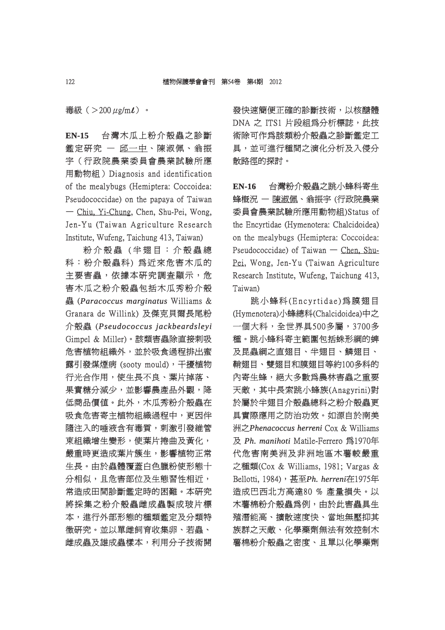毒級 $($  > 200 μg/m $\ell$ ) 。

**EN-15** 台灣木瓜上粉介殼蟲之診斷 鑑定研究 — 邱一中、陳淑佩、翁振 宇(行政院農業委員會農業試驗所應 用動物組) Diagnosis and identification of the mealybugs (Hemiptera: Coccoidea: Pseudococcidae) on the papaya of Taiwan — Chiu, Yi-Chung, Chen, Shu-Pei, Wong, Jen-Yu (Taiwan Agriculture Research Institute, Wufeng, Taichung 413, Taiwan)

粉介殼蟲 (半翅目:介殼蟲總 科:粉介殼蟲科) 為近來危害木瓜的 主要害蟲,依據本研究調査顯示,危 害木瓜之粉介殼蟲包括木瓜秀粉介殼 蟲 (*Paracoccus marginatus aracoccus* Williams & Granara de Willink) 及傑克貝爾長尾粉 介殼蟲 (*Pseudococcus jackbeardsleyi seudococcus*  Gimpel & Miller)。該類害蟲除直接刺吸 危害植物組織外,並於吸食過程排出蜜 露引發煤煙病 (sooty mould),干擾植物 行光合作用,使生長不良、葉片掉落、 果實糖分減少,並影響農產品外觀,降 低商品價值。此外,木瓜秀粉介殼蟲在 吸食危害寄主植物組織過程中,更因伴 隨注入的唾液含有毒質,刺激引發維管 束組織增生變形,使葉片捲曲及黃化, 嚴重時更造成葉片簇生,影響植物正常 生長。由於蟲體覆蓋白色臘粉使形態十 分相似,且危害部位及生態習性相近, 常造成田間診斷鑑定時的困難。本研究 將採集之粉介殼蟲雌成蟲製成玻片標 本,進行外部形態的種類鑑定及分類特 徴研究。並以單雌飼育收集卵、若蟲、 雌成蟲及雄成蟲樣本,利用分子技術開

發快速簡便正確的診斷技術,以核醣體 DNA 之 ITS1 片段組為分析標誌,此技 術除可作為該類粉介殼蟲之診斷鑑定工 具,並可進行種間之演化分析及入侵分 散路徑的探討。

**EN-16** 台灣粉介殼蟲之跳小蜂科寄生 蜂概況 – 陳淑佩、翁振宇 (行政院農業 委員會農業試驗所應用動物組)Status of 員會農業試驗所應用動物組)Status the Encyrtidae (Hymenotera: Chalcidoidea) on the mealybugs (Hemiptera: Coccoidea: Pseudococcidae) of Taiwan — Chen, Shu-Pei, Wong, Jen-Yu (Taiwan Agriculture Research Institute, Wufeng, Taichung 413, Taiwan)

跳小蜂科(Encyrtidae)為膜翅目 (Hymenotera)小蜂總科(Chalcidoidea)中之 一個大科,全世界具500多屬,3700多 種。跳小蜂科寄主範圍包括蛛形綱的蜱 及昆蟲綱之直翅目、半翅目、鱗翅目、 鞘翅目、雙翅目和膜翅目等約100多科的 內寄生蜂,絕大多數爲農林害蟲之重要 天敵,其中長索跳小蜂族(Anagyrini)對 敵,其中長索跳小蜂族(Anagyrini)對 於屬於半翅目介殼蟲總科之粉介殼蟲更 具實際應用之防治功效。如源自於南美 實際應用之防治功效。如源自於南美 洲之*Phenacoccus herreni* Cox & Williams 及 *Ph. manihoti h.* Matile-Ferrero 為1970年 代危害南美洲及非洲地區木薯較嚴重 之種類(Cox & Williams, 1981; Vargas & Bellotti, 1984), 甚至 Ph. herreni在1975年 造成巴西北方高達80 % 產量損失。以 木薯棉粉介殼蟲為例,由於此害蟲具生 殖潛能高、擴散速度快、當地無壓抑其 族群之天敵、化學藥劑無法有效控制木 薯棉粉介殼蟲之密度、且單以化學藥劑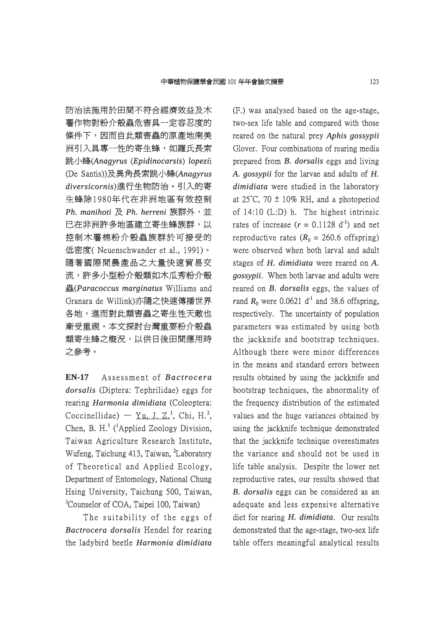防治法施用於田間不符合經濟效益及木 薯作物對粉介殼蟲危害具一定容忍度的 條件下,因而自此類害蟲的原產地南美 洲引入具專一性的寄生蜂,如羅氏長索 跳小蜂(*Anagyrus nagyrus*(*Epidinocarsis pidinocarsis*) *lopezi*i (De Santis))及異角長索跳小蜂(Anagyrus *diversicornis iversicornis*)進行生物防治。引入的寄 進行生物防治。引入的寄 生蜂除1980年代在非洲地區有效控制 *Ph. manihoti h.* 及 *Ph. herreni h.* 族群外,並 已在非洲許多地區建立寄生蜂族群,以 控制木薯棉粉介殼蟲族群於可接受的 低密度(Neuenschwander et al., 1991)。 隨著國際間農產品之大量快速貿易交 流,許多小型粉介殼類如木瓜秀粉介殼 蟲(*Paracoccus marginatus aracoccus* Williams and Granara de Willink)亦隨之快速傳播世界 各地,進而對此類害蟲之寄生性天敵也 漸受重視。本文探討台灣重要粉介殼蟲 類寄生蜂之概況,以供日後田間應用時 之參考。

EN-17 Assessment of *Bactrocera* dorsalis (Diptera: Tephrilidae) eggs for rearing *Harmonia dimidiata* (Coleoptera: Coccinellidae) — Yu, J. Z.<sup>1</sup>, Chi, H.<sup>2</sup>, Chen, B. H.<sup>3</sup> (<sup>1</sup>Applied Zoology Division, Taiwan Agriculture Research Institute, Wufeng, Taichung 413, Taiwan, <sup>2</sup>Laboratory of Theoretical and Applied Ecology, Department of Entomology, National Chung Hsing University, Taichung 500, Taiwan, <sup>3</sup>Counselor of COA, Taipei 100, Taiwan)

The suitability of the eggs of *Bactrocera dorsalis* Hendel for rearing the ladybird beetle he *Harmonia dimidiata armonia* 

(F.) was analysed based on the age-stage, two-sex life table and compared with those reared on the natural prey *Aphis gossypii* Glover. Four combinations of rearing media prepared from *B. dorsalis* eggs and living A. gossypii for the larvae and adults of *H*. *dimidiata* were studied in the laboratory at 25 $\degree$ C, 70  $\pm$  10% RH, and a photoperiod of  $14:10$  (L:D) h. The highest intrinsic rates of increase  $(r = 0.1128 \text{ d}^{-1})$  and net reproductive rates  $(R_0 = 260.6 \text{ offspring})$ were observed when both larval and adult stages of *H. dimidiata* were reared on *A. gossypii*. When both larvae and adults were reared on *B. dorsalis* eggs, the values of *rand*  $R_0$  were 0.0621 d<sup>-1</sup> and 38.6 offspring, respectively. The uncertainty of population parameters was estimated by using both the jackknife and bootstrap techniques. Although there were minor differences in the means and standard errors between results obtained by using the jackknife and bootstrap techniques, the abnormality of the frequency distribution of the estimated values and the huge variances obtained by using the jackknife technique demonstrated that the jackknife technique overestimates the variance and should not be used in life table analysis. Despite the lower net reproductive rates, our results showed that *B. dorsalis* eggs can be considered as an adequate and less expensive alternative diet for rearing *H. dimidiata*. Our results demonstrated that the age-stage, two-sex life table offers meaningful analytical results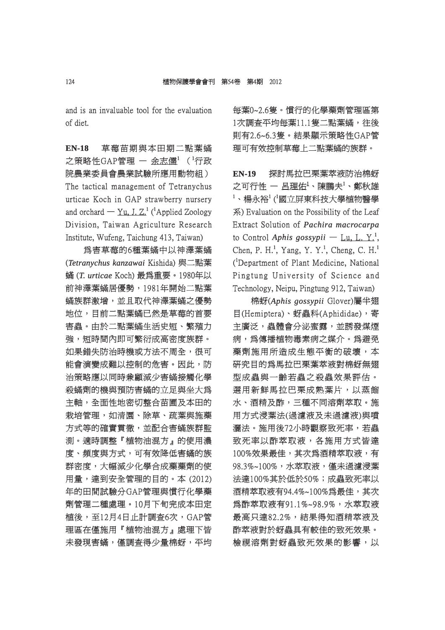and is an invaluable tool for the evaluation of diet.

**EN-18** 草莓苗期與本田期二點葉蟎 之策略性GAP管理 — 余志儒 $^1$ ( $^1$ 行政 院農業委員會農業試驗所應用動物組) The tactical management of Tetranychus urticae Koch in GAP strawberry nursery and orchard  $-$  Yu, J. Z.<sup>1</sup> (<sup>1</sup>Applied Zoology Division, Taiwan Agriculture Research Institute, Wufeng, Taichung 413, Taiwan)

爲害草莓的6種葉蟎中以神澤葉蟎 (*Tetranychus kanzawai* Kishida) 與二點葉  $m$  (*T. urticae* Koch) 最為重要。1980年以 前神澤葉蟎居優勢, 1981年開始二點葉 蟎族群激增,並且取代神澤葉蟎之優勢 地位,目前二點葉蟎已然是草莓的首要 害蟲。由於二點葉蟎生活史短、繁殖力 強,短時間內即可繁衍成高密度族群。 如果錯失防治時機或方法不周全,很可 能會演變成難以控制的危害。因此,防 治策略應以同時兼顧減少害蟎接觸化學 殺蟎劑的機與預防害蟎的立足與坐大爲 主軸,全面性地密切整合苗圃及本田的 栽培管理,如清園、除草、疏葉與施藥 方式等的確實貫徹,並配合害蟎族群監 測。適時調整『植物油混方』的使用濃 。適時調整『植物油混方』的使用濃 度、頻度與方式,可有效降低害蟎的族 群密度,大幅減少化學合成藥藥劑的使 用量,達到安全管理的目的。本 (2012) 年的田間試驗分GAP管理與慣行化學藥 劑管理二種處理。10月下旬完成本田定 管理二種處理。10月下旬完成本田定 植後,至12月4日止計調査6次,GAP管 理區在僅施用『植物油混方』處理下皆 未發現害蟎,僅調查得少量棉蚜,平均 每葉0~2.6隻。慣行的化學藥劑管理區第 1次調査平均每葉11.1隻二點葉蟎,往後 則有2.6~6.3隻。結果顯示策略性GAP管 有2.6~6.3隻。結果顯示策略性GAP管 理可有效控制草莓上二點葉蟎的族群。

**EN-19** 探討馬拉巴栗葉萃液防治棉蚜 之可行性 ― 呂理佑 $^1$ 、陳鵬夫 $^1$ 、鄭秋雄  $^1$ 、楊永裕 $^1$ ('國立屏東科技大學植物醫學 系) Evaluation on the Possibility of the Leaf Extract Solution of *Pachira macrocarpa* to Control *Aphis gossypii* — <u>Lu, L. Y.</u><sup>1</sup>, Chen, P. H.<sup>1</sup>, Yang, Y. Y.<sup>1</sup>, Cheng, C. H.<sup>1</sup> (<sup>1</sup>Department of Plant Medicine, National Pingtung University of Science and Technology, Neipu, Pingtung 912, Taiwan)

棉蚜(*Aphis gossypii phis* Glover)屬半翅 目(Hemiptera)、蚜蟲科(Aphididae),寄 主廣泛,蟲體會分泌蜜露,並誘發煤煙 病,為傳播植物毒素病之媒介。為避免 藥劑施用所造成生態平衡的破壞,本 研究目的為馬拉巴栗葉萃液對棉蚜無翅 型成蟲與一齡若蟲之殺蟲效果評估。 選用新鮮馬拉巴栗成熟葉片,以蒸餾 水、酒精及酢,三種不同溶劑萃取。施 用方式浸葉法(過濾液及未過濾液)與噴 灑法。施用後72小時觀察致死率,若蟲 致死率以酢萃取液,各施用方式皆達 100%效果最佳,其次為酒精萃取液,有 98.3%~100%,水萃取液,僅未過濾浸葉 法達100%其於低於50%;成蟲致死率以 酒精萃取液有94.4%~100%為最佳,其次 為酢萃取液有91.1%~98.9%,水萃取液 最高只達82.2%,結果得知酒精萃液及 酢萃液對於蚜蟲具有較佳的致死效果。 檢視溶劑對蚜蟲致死效果的影響,以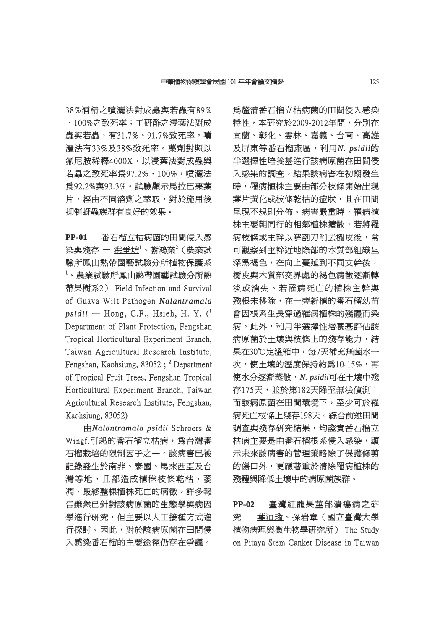38%酒精之噴灑法對成蟲與若蟲有89% 、100%之致死率;工研酢之浸葉法對成 100%之致死率;工研酢之浸葉法對成 蟲與若蟲,有31.7%、91.7%致死率,噴 灑法有33%及38%致死率。藥劑對照以 氟尼胺稀釋4000X,以浸葉法對成蟲與 若蟲之致死率爲97.2%、100%,噴灑法 為92.2%與93.3%。試驗顯示馬拉巴栗葉 92.2%與93.3%。試驗顯示馬拉巴栗葉 片,經由不同溶劑之萃取,對於施用後 抑制蚜蟲族群有良好的效果。 制蚜蟲族群有良好的效果。

**PP-01** 番石榴立枯病菌的田間侵入感 染與殘存 ― 洪爭坊 $^1$ 、謝鴻業 $^2$ (農業試 驗所鳳山熱帶園藝試驗分所植物保護系  $^{\rm 1}$ 、農業試驗所鳳山熱帶園藝試驗分所熱 帶果樹系2) Field Infection and Survival 果樹系2) of Guava Wilt Pathogen Nalantramala  $psidii$   $-$  Hong, C.F., Hsieh, H. Y. ( $^1$ Department of Plant Protection, Fengshan Tropical Horticultural Experiment Branch, Taiwan Agricultural Research Institute. Fengshan, Kaohsiung, 83052;  $^2$  Department of Tropical Fruit Trees, Fengshan Tropical Horticultural Experiment Branch, Taiwan Agricultural Research Institute, Fengshan, Kaohsiung, 83052)

由*Nalantramala psidii* Schroers & Wingf.引起的番石榴立枯病,為台灣番 石榴栽培的限制因子之一。該病害已被 記錄發生於南非、泰國、馬來西亞及台 灣等地,且都造成植株枝條乾枯、萎 凋,最終整棵植株死亡的病徵。許多報 告雖然已針對該病原菌的生態學與病因 學進行研究,但主要以人工接種方式進 行探討。因此,對於該病原菌在田間侵 探討。因此,對於該病原菌在田間侵 入感染番石榴的主要途徑仍存在爭議。

爲釐清番石榴立枯病菌的田間侵入感染 特性,本研究於2009-2012年間,分別在 宜蘭、彰化、雲林、嘉義、台南、高雄 及屏東等番石榴產區,利用N. psidii的 半選擇性培養基進行該病原菌在田間侵 入感染的調査。結果該病害在初期發生 時,罹病植株主要由部分枝條開始出現 ,罹病植株主要由部分枝條開始出現 葉片黃化或枝條乾枯的症狀,且在田間 呈現不規則分佈。病害嚴重時,罹病植 株主要朝同行的相鄰植株擴散,若將罹 病枝條或主幹以解剖刀削去樹皮後,常 可觀察到主幹近地際部的木質部組織呈 深黑褐色,在向上蔓延到不同支幹後, 樹皮與木質部交界處的褐色病徵逐漸轉 淡或消失。若罹病死亡的植株主幹與 殘根未移除,在一旁新植的番石榴幼苗 會因根系生長穿過罹病植株的殘體而染 病。此外,利用半選擇性培養基評估該 病原菌於土壤與枝條上的殘存能力,結 果在30℃定溫箱中,每7天補充無菌水一 次,使土壤的溼度保持約爲10-15%,再 使水分逐漸蒸散, 水分逐漸蒸散,*N. psidii .* 可在土壤中殘 存175天,並於第182天降至無法偵測; 而該病原菌在田間環境下,至少可於罹 病死亡枝條上殘存198天。綜合前述田間 調査與殘存研究結果,均證實番石榴立 枯病主要是由番石榴根系侵入感染,顯 示未來該病害的管理策略除了保護修剪 的傷口外,更應著重於清除罹病植株的 殘體與降低土壤中的病原菌族群。

**PP-02** 臺灣紅龍果莖部潰瘍病之研 究 一 葉洹瑜、孫岩章(國立臺灣大學 植物病理與微生物學研究所) The Study 物病理與微生物學研究所) on Pitaya Stem Canker Disease in Taiwan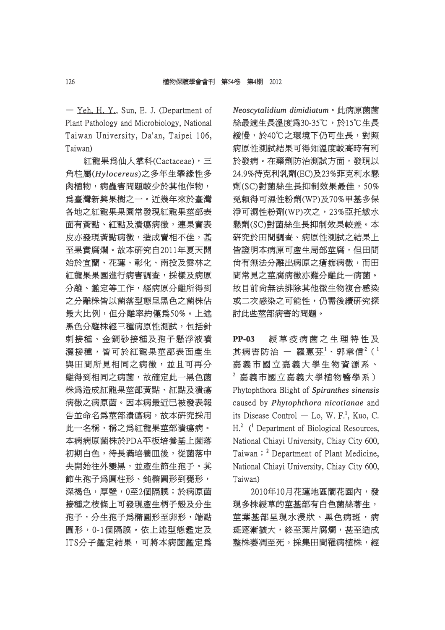$-$  Yeh, H. Y., Sun, E. J. (Department of Plant Pathology and Microbiology, National Taiwan University, Da'an, Taipei 106, Taiwan)

紅龍果為仙人掌科(Cactaceae),三 龍果為仙人掌科(Cactaceae),三 角柱屬(*Hylocereus ylocereus*)之多年生攀緣性多 之多年生攀緣性多 肉植物,病蟲害問題較少於其他作物, 爲臺灣新興果樹之一。近幾年來於臺灣 各地之紅龍果果園常發現紅龍果莖部表 面有黃點、紅點及潰瘍病徵,連果實表 皮亦發現黃點病徵,造成賣相不佳,甚 至果實腐爛。故本研究自2011年夏天開 始於宜蘭、花蓮、彰化、南投及雲林之 紅龍果果園進行病害調査,採樣及病原 分離、鑑定等工作,經病原分離所得到 之分離株皆以菌落型態呈黑色之菌株佔 最大比例,但分離率約僅爲50%。上述 黑色分離株經三種病原性測試,包括針 刺接種、金鋼砂接種及孢子懸浮液噴 灑接種,皆可於紅龍果莖部表面產生 與田間所見相同之病徵,並且可再分 離得到相同之病菌,故確定此一黑色菌 株為造成紅龍果莖部黃點、紅點及潰瘍 病徵之病原菌。因本病最近已被發表報 告並命名爲莖部潰瘍病,故本研究採用 此一名稱,稱之爲紅龍果莖部潰瘍病。 本病病原菌株於PDA平板培養基上菌落 初期白色,待長滿培養皿後,從菌落中 央開始往外變黑,並產生節生孢子。其 節生孢子為圓柱形、鈍橢圓形到甕形, 深褐色,厚壁,0至2個隔膜;於病原菌 接種之枝條上可發現產生柄子殼及分生 孢子,分生孢子為橢圓形至卵形,端點 圓形,0-1個隔膜。依上述型態鑑定及 形,0-1個隔膜。依上述型態鑑定及 ITS分子鑑定結果,可將本病菌鑑定為 *Neoscytalidium dimidiatum eoscytalidium* 。此病原菌菌 絲最適生長溫度爲30-35℃,於15℃生長 緩慢,於40℃之環境下仍可生長,對照 病原性測試結果可得知溫度較高時有利 於發病。在藥劑防治測試方面,發現以 24.9%待克利乳劑(EC)及23%菲克利水懸 劑(SC)對菌絲生長抑制效果最佳,50% (SC)對菌絲生長抑制效果最佳,50% 免賴得可濕性粉劑(WP)及70%甲基多保 賴得可濕性粉劑(WP)及70%甲基多保 淨可濕性粉劑(WP)次之,23%亞托敏水 懸劑(SC)對菌絲生長抑制效果較差。本 劑(SC)對菌絲生長抑制效果較差。本 研究於田間調査、病原性測試之結果上 皆證明本病原可產生局部莖腐,但田間 尚有無法分離出病原之瘡痂病徵,而田 間常見之莖腐病徵亦難分離此一病菌。 故目前尙無法排除其他微生物複合感染 或二次感染之可能性,仍需後續研究探 討此些莖部病害的問題。

PP-03 綬草疫病菌之生理特性及 其病害防治 — 羅惠芬 $^1$ 、郭章信 $^2$ ( $^1$ 嘉義市國立嘉義大學生物資源系、  $^2$  嘉義市國立嘉義大學植物醫學系) Phytophthora Blight of *Spiranthes sinensis* caused by *Phytophthora nicotianae* and its Disease Control — Lo, W. F.<sup>1</sup>, Kuo, C.  $H<sup>2</sup>$  (<sup>1</sup> Department of Biological Resources, National Chiavi University, Chiav City 600, Taiwan; <sup>2</sup> Department of Plant Medicine, National Chiavi University, Chiav City 600, Taiwan)

2010年10月花蓮地區蘭花園內,發 010年10月花蓮地區蘭花園內,發 現多株綬草的莖基部有白色菌絲著生, 莖葉基部呈現水浸狀、黑色病斑,病 斑逐漸擴大,終至葉片腐爛,甚至造成 整株萎凋至死。採集田間罹病植株,經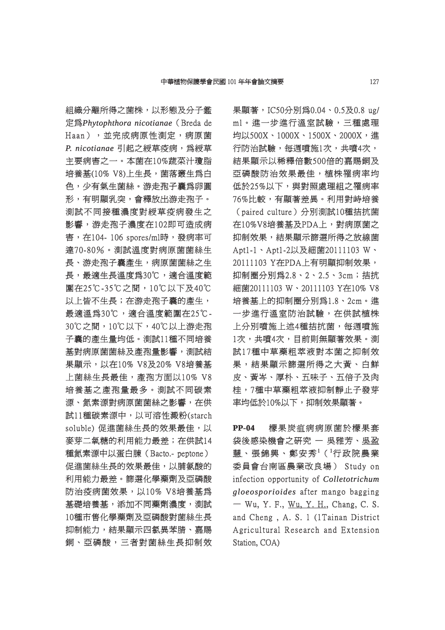組織分離所得之菌株,以形態及分子鑑 定為*Phytophthora nicotianae* (Breda de Haan), 並完成病原性測定,病原菌  $P.$  nicotianae 引起之綬草疫病,為綬草 主要病害之一。本菌在10%蔬菜汁瓊脂 培養基(10% V8)上生長,菌落叢生為白 色,少有氣生菌絲。游走孢子囊爲卵圓 形,有明顯乳突,會釋放出游走孢子。 測試不同接種濃度對綬草疫病發生之 影響,游走孢子濃度在102即可造成病 害, 在104- 106 spores/ml時, 發病率可 達70-80%。測試溫度對病原菌菌絲生 70-80%。測試溫度對病原菌菌絲生 長、游走孢子囊產生,病原菌菌絲之生 長,最適生長溫度為30℃,適合溫度範 圍在25℃-35℃之間,10℃以下及40℃ 在25℃-35℃之間,10℃以下及40℃ 以上皆不生長;在游走孢子囊的產生, 最適溫爲30℃,適合溫度範圍在25℃-30℃之間,10℃以下,40℃以上游走孢 子囊的產生量均低。測試11種不同培養 基對病原菌菌絲及產孢量影響,測試結 果顯示, 以在10% V8及20% V8培養基 上菌絲生長最佳,產孢方面以10% V8 培養基之產孢量最多。測試不同碳素 源、氦素源對病原菌菌絲之影響,在供 試11種碳素源中,以可溶性澱粉(starch soluble) 促進菌絲生長的效果最佳,以 麥芽二氧糖的利用能力最差;在供試14 種氮素源中以蛋白腖 (Bacto.- peptone) 促進菌絲生長的效果最佳,以脯氨酸的 利用能力最差。篩選化學藥劑及亞磷酸 防治疫病菌效果,以10% V8培養基為 基礎培養基,添加不同藥劑濃度,測試 10種市售化學藥劑及亞磷酸對菌絲生長 抑制能力,結果顯示四氯異苯腈、嘉賜 銅、亞磷酸,三者對菌絲生長抑制效 果顯著,IC50分別為0.04、0.5及0.8 ug/ ml。進一步進行溫室試驗,三種處理 l。進一步進行溫室試驗,三種處理 均以500X、1000X、1500X、2000X,進 行防治試驗,每週噴施1次,共噴4次, 結果顯示以稀釋倍數500倍的嘉賜銅及 亞磷酸防治效果最佳,植株罹病率均 低於25%以下,與對照處理組之罹病率 76%比較,有顯著差異。利用對峙培養 (paired culture)分別測試10種拮抗菌 在10%V8培養基及PDA上,對病原菌之 10%V8培養基及PDA上,對病原菌之 抑制效果,結果顯示篩選所得之放線菌 Apt1-1、Apt1-2以及細菌20111103 W、 20111103 Y在PDA上有明顯抑制效果, 抑制圈分別為2.8、2、2.5、3cm;拮抗 細菌20111103 W、20111103 Y在10% V8 培養基上的抑制圈分別為1.8、2cm。進 一步進行溫室防治試驗,在供試植株 上分別噴施上述4種拮抗菌,每週噴施 1次,共噴4次,目前則無顯著效果。測 試17種中草藥粗萃液對本菌之抑制效 果,結果顯示篩選所得之大黃、白鮮 皮、黃岑、厚朴、五味子、五倍子及肉 桂,7種中草藥粗萃液抑制靜止子發芽 ,7種中草藥粗萃液抑制靜止子發芽 率均低於10%以下,抑制效果顯著。

**PP-04** 檬果炭疽病病原菌於檬果套 袋後感染機會之研究 – 吳雅芳、吳盈 慧、張錦興、鄭安秀 $^1$ ( $^1$ 行政院農業 委員會台南區農業改良場) Study on infection opportunity of *Colletotrichum gloeosporioides loeosporioides* after mango bagging  $-$  Wu, Y. F., Wu, Y. H., Chang, C. S. and Cheng, A. S. 1 (1Tainan District Agricultural Research and Extension Station, COA)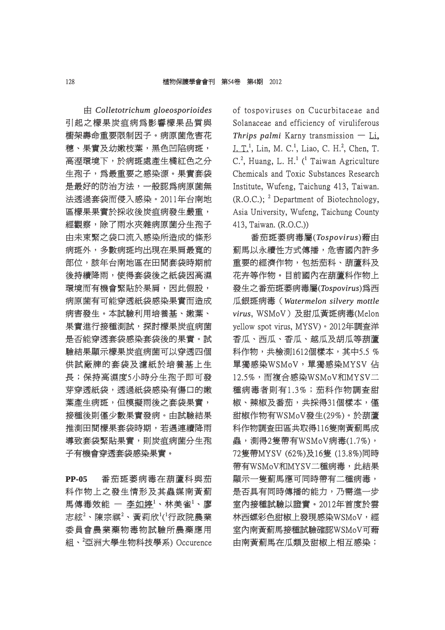由 *Colletotrichum gloeosporioides olletotrichum*  引起之檬果炭疽病爲影響檬果品質與 櫥架壽命重要限制因子。病原菌危害花 穗、果實及幼嫩枝葉,黑色凹陷病斑, 高溼環境下,於病斑處產生橘紅色之分 生孢子,為最重要之感染源。果實套袋 是最好的防治方法,一般認為病原菌無 法透過套袋而侵入感染。2011年台南地 區樣果果實於採收後炭疽病發生嚴重, 經觀察,除了雨水夾雜病原菌分生孢子 由未束緊之袋口流入感染所造成的條形 病斑外,多數病斑均出現在果肩最寬的 部位,該年台南地區在田間套袋時期前 後持續降雨,使得套袋後之紙袋因高濕 環境而有機會緊貼於果肩,因此假設, 病原菌有可能穿透紙袋感染果實而造成 病害發生。本試驗利用培養基、嫩葉、 果實進行接種測試,探討樣果炭疽病菌 是否能穿透套袋感染套袋後的果實。試 驗結果顯示樣果炭疽病菌可以穿透四個 供試廠牌的套袋及濾紙於培養基上生 長;保持高濕度5小時分生孢子即可發 芽穿透紙袋,透過紙袋感染有傷口的嫩 葉產生病斑,但模擬雨後之套袋果實, 接種後則僅少數果實發病。由試驗結果 推測田間檬果套袋時期,若遇連續降雨 導致套袋緊貼果實,則炭疽病菌分生孢 子有機會穿透套袋感染果實。

**PP-05** 番茄斑萎病毒在葫蘆科與茄 科作物上之發生情形及其蟲媒南黃薊 馬傳毒效能 ― 李如婷<sup>1</sup>、林美雀<sup>1</sup>、廖 志絃 $^2$ 、陳宗祺 $^2$ 、黃莉欣 $^1$ ( $^1$ 行政院農業 委員會農業藥物毒物試驗所農藥應用 組、<sup>2</sup>亞洲大學生物科技學系) Occurence of tospoviruses on Cucurbitaceae and f Solanaceae and efficiency of viruliferous *Thrips palmi* Karny transmission — Li,  $J. T<sup>1</sup>$ , Lin, M. C.<sup>1</sup>, Liao, C. H.<sup>2</sup>, Chen, T.  $C^2$ , Huang, L. H.<sup>1</sup> (<sup>1</sup> Taiwan Agriculture Chemicals and Toxic Substances Research Institute, Wufeng, Taichung 413, Taiwan.  $(R.O.C.);$  <sup>2</sup> Department of Biotechnology, Asia University, Wufeng, Taichung County 413, Taiwan. (R.O.C.)) 13,

番茄斑萎病毒屬( 茄斑萎病毒屬(*Tospovirus ospovirus*)藉由 薊馬以永續性方式傳播,危害國內許多 重要的經濟作物,包括茄科、葫蘆科及 花卉等作物。目前國內在葫蘆科作物上 發生之番茄斑萎病毒屬( 生之番茄斑萎病毒屬(*Tospovirus ospovirus*)為西 瓜銀斑病毒 (Watermelon silvery mottle *virus*, WSMoV)及甜瓜黃斑病毒(Melon yellow spot virus, MYSV)。2012年調查洋 香瓜、西瓜、香瓜、越瓜及胡瓜等葫蘆 科作物,共檢測1612個樣本,其中5.5% 單獨感染WSMoV,單獨感染MYSV 佔 12.5%,而複合感染WSMoV和MYSV二 種病毒者則有1.3%;茄科作物調査甜 椒、辣椒及番茄,共採得31個樣本,僅 甜椒作物有WSMoV發生(29%)。於葫蘆 椒作物有WSMoV發生(29%)。於葫蘆 科作物調査田區共取得116隻南黃薊馬成 蟲,測得2隻帶有WSMoV病毒(1.7%), 72隻帶MYSV (62%)及16隻 (13.8%)同時 帶有WSMoV和MYSV二種病毒,此結果 顯示一隻薊馬應可同時帶有二種病毒, 示一隻薊馬應可同時帶有二種病毒, 是否具有同時傳播的能力,乃需進一步 室內接種試驗以證實。2012年首度於雲 內接種試驗以證實。2012年首度於雲 林西螺彩色甜椒上發現感染WSMoV,經 西螺彩色甜椒上發現感染WSMoV,經 室內南黃薊馬接種試驗確認WSMoV可藉 內南黃薊馬接種試驗確認WSMoV可藉 由南黃薊馬在瓜類及甜椒上相互感染;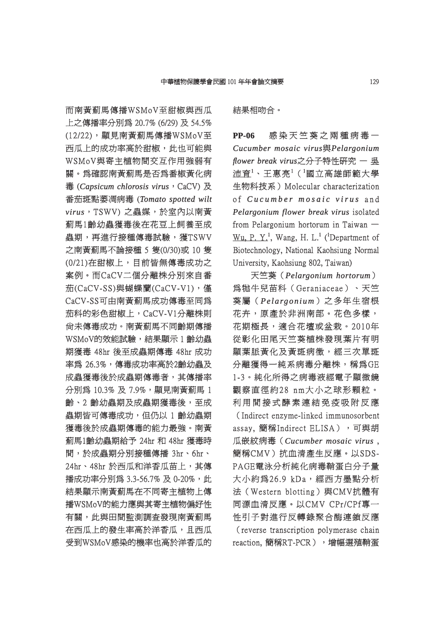而南黃薊馬傳播WSMoV至甜椒與西瓜 上之傳播率分別爲 20.7% (6/29) 及 54.5% (12/22), 顯見南黃薊馬傳播WSMoV至 西瓜上的成功率高於甜椒,此也可能與 WSMoV與寄主植物間交互作用強弱有 關。為確認南黃薊馬是否為番椒黃化病 。為確認南黃薊馬是否為番椒黃化病 毒 (*Capsicum chlorosis virus* , CaCV) 及 番茄斑點萎凋病毒 (Tomato spotted wilt  $virus$ , TSWV) 之蟲媒,於室內以南黃 薊馬1齡幼蟲獲毒後在花豆上飼養至成 **蟲期,再進行接種傳毒試驗,獲TSWV** 之南黃薊馬不論接種 5 隻(0/30)或 10 隻 (0/21)在甜椒上,目前皆無傳毒成功之 案例。而CaCV二個分離株分別來自番 例。而CaCV二個分離株分別來自番 流(CaCV-SS)與蝴蝶蘭(CaCV-V1),僅 CaCV-SS可由南黃薊馬成功傳毒至同爲 茄科的彩色甜椒上,CaCV-V1分離株則 尚未傳毒成功。南黃薊馬不同齡期傳播 WSMoV的效能試驗,結果顯示 1 齡幼蟲 期獲毒 48hr 後至成蟲期傳毒 48hr 成功 率為 26.3%,傳毒成功率高於2齡幼蟲及 成蟲獲毒後於成蟲期傳毒者,其傳播率 分別為 10.3% 及 7.9%, 顯見南黃薊馬 1 齡、2 齡幼蟲期及成蟲期獲毒後,至成 蟲期皆可傳毒成功,但仍以 1 齡幼蟲期 獲毒後於成蟲期傳毒的能力最強。南黃 薊馬1齡幼蟲期給予 24hr 和 48hr 獲毒時 馬1齡幼蟲期給予 間,於成蟲期分別接種傳播 3hr、6hr、 24hr、48hr 於西瓜和洋香瓜苗上,其傳 播成功率分別為 3.3-56.7% 及 0-20%,此 結果顯示南黃薊馬在不同寄主植物上傳 播WSMoV的能力應與其寄主植物偏好性 WSMoV的能力應與其寄主植物偏好性 有關,此與田間監測調査發現南黃薊馬 在西瓜上的發生率高於洋香瓜,且西瓜 受到WSMoV感染的機率也高於洋香瓜的

結果相吻合。

**PP-06** 感染天竺葵之兩種病毒一 *Cucumber mosaic virus ucumber* 與*Pelargonium elargonium flower break virus*之分子特性研究 一 吳 沛育<sup>1</sup>、王惠亮<sup>1</sup>('國立高雄師範大學 生物科技系)Molecular characterization of *Cucumber mosaic virus u c u m b e r m o s a i c v i r u s* a n d *Pelargonium flower break virus* isolated from Pelargonium hortorum in Taiwan  $Wu$ , P. Y.<sup>1</sup>, Wang, H. L.<sup>1</sup> (<sup>1</sup>Department of Biotechnology, National Kaohsiung Normal University, Kaohsiung 802, Taiwan)

天竺葵 (Pelargonium hortorum) 為牻牛兒苗科(Geraniaceae)、天竺 牻牛兒苗科(Geraniaceae)、天竺 葵屬(*Pelargonium e l a rg o n i um*)之多年生宿根 花卉,原產於非洲南部。花色多樣, 花期極長,適合花壇或盆栽。2010年 從彰化田尾天竺葵植株發現葉片有明 顯葉脈黃化及黃斑病徵,經三次單斑 分離獲得一純系病毒分離株,稱為GE 1-3。純化所得之病毒液經電子顯微鏡 -3。純化所得之病毒液經電子顯微鏡 觀察直徑約28 nm大小之球形顆粒。 利用間接式酵素連結免疫吸附反應 (Indirect enzyme-linked immunosorbent) assay, 簡稱Indirect ELISA),可與胡 瓜嵌紋病毒 (Cucumber mosaic virus,

簡稱CMV)抗血清產生反應。以SDS-PAGE電泳分析純化病毒鞘蛋白分子量 大小約爲26.9 kDa,經西方墨點分析 法(Western blotting)與CMV抗體有 同源血清反應。以CMV CPr/CPf專一 源血清反應。以CMV 性引子對進行反轉錄聚合酶連鎖反應 (reverse transcription polymerase chain reaction, 簡稱RT-PCR), 增幅選殖鞘蛋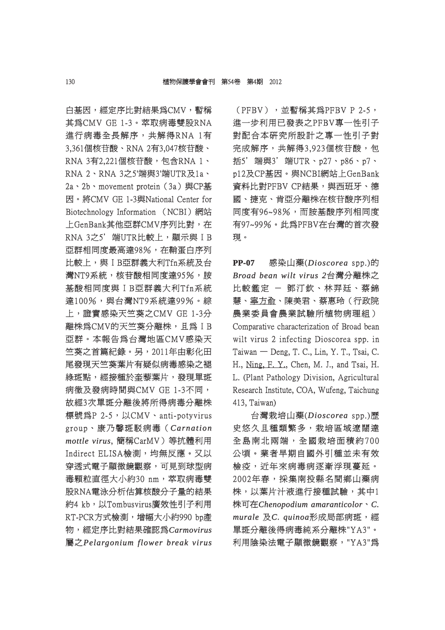白基因,經定序比對結果為CMV,暫稱 基因,經定序比對結果為CMV,暫稱 其爲CMV GE 1-3。萃取病毒雙股RNA 進行病毒全長解序,共解得RNA 1有 3,361個核苷酸、RNA 2有3,047核苷酸、 RNA 3有2.221個核苷酸, 包含RNA 1、 RNA 2、RNA 3之5'端與3'端UTR及1a、 2a、2b、movement protein (3a)與CP基 因。將CMV GE 1-3與National Center for 。將CMV Biotechnology Information (NCBI)網站 上GenBank其他亞群CMV序列比對,在 GenBank其他亞群CMV序列比對,在 RNA 3之5'端UTR比較上,顯示與 IB 亞群相同度最高達98%,在鞘蛋白序列 比較上,與IB亞群義大利Tfn系統及台 灣NT9系統,核苷酸相同度達95%,胺 基酸相同度與ΙB亞群義大利Tfn系統 酸相同度與ΙB亞群義大利Tfn系統 達100%,與台灣NT9系統達99%。綜 上,證實感染天竺葵之CMV GE 1-3分 離株為CMV的天竺葵分離株,且為IB 亞群。本報告為台灣地區CMV感染天 群。本報告為台灣地區CMV感染天 竺葵之首篇紀錄。另,2011年由彰化田 尾發現天竺葵葉片有疑似病毒感染之褪 綠斑點,經接種於奎藜葉片,發現單斑 病徵及發病時間與CMV GE 1-3不同, 故經3次單斑分離後將所得病毒分離株 標號為P 2-5, 以CMV、anti-potyvirus group、康乃馨斑駁病毒( roup、康乃馨斑駁病毒(*Carnation arnation mottle virus ottle* , 簡稱CarMV)等抗體利用 簡稱CarMV)等抗體利用 Indirect ELISA檢測,均無反應。又以 穿透式電子顯微鏡觀察,可見到球型病 毒顆粒直徑大小約30 nm, 萃取病毒雙 股RNA電泳分析估算核酸分子量的結果 約4 kb,以Tombusvirus廣效性引子利用 RT-PCR方式檢測,增幅大小約990 bp產 物,經定序比對結果確認為 ,經定序比對結果確認為*Carmovirus armovirus* 屬之*Pelargonium flower break virus elargonium* 

(PFBV), 並暫稱其為PFBV P 2-5, 進一步利用已發表之PFBV專一性引子 對配合本研究所設計之專一性引子對 完成解序,共解得3,923個核苷酸,包 括5' 端與3' 端UTR、p27、p86、p7、 p12及CP基因。與NCBI網站上GenBank 12及CP基因。與NCBI網站上GenBank 資料比對PFBV CP結果,與西班牙、德 料比對PFBV 國、捷克、肯亞分離株在核苷酸序列相 、捷克、肯亞分離株在核苷酸序列相 同度有96~98%,而胺基酸序列相同度 有97~99%。此為PFBV在台灣的首次發 現。

**PP-07** 感染山藥(*Dioscorea ioscorea* spp.)的 *Broad bean wilt virus 2 road* 台灣分離株之 比較鑑定 - 鄧汀欽、林羿廷、蔡錦 慧、寧方俞、陳美君、蔡惠玲(行政院 農業委員會農業試驗所植物病理組) Comparative characterization of Broad bean wilt virus 2 infecting Dioscorea spp. in  $T$ aiwan — Deng, T. C., Lin, Y. T., Tsai, C. H., Ning, F. Y., Chen, M. J., and Tsai, H. L. (Plant Pathology Division, Agricultural Research Institute, COA, Wufeng, Taichung 413, Taiwan)

台灣栽培山藥(*Dioscorea ioscorea* spp.)歷 史悠久且種類繁多,栽培區域遼闊達 全島南北兩端,全國栽培面積約700 公頃。業者早期自國外引種並未有效 頃。業者早期自國外引種並未有效 檢疫,近年來病毒病逐漸浮現蔓延。 2002年春,採集南投縣名間鄉山藥病 株,以葉片汁液進行接種試驗,其中1 株可在*Chenopodium amaranticolor henopodium* 、*C. murale* 及*C. quinoa .* 形成局部病斑,經 成局部病斑,經 單斑分離後得病毒純系分離株"YA3"。 斑分離後得病毒純系分離株"YA3"。 利用陰染法電子顯微鏡觀察, "YA3"為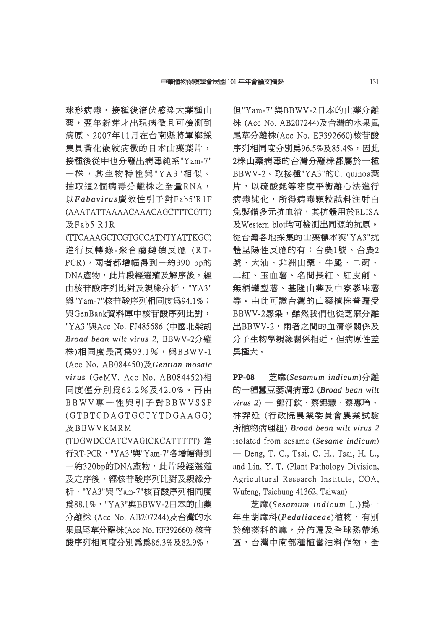球形病毒。接種後潛伏感染大葉種山 藥, 翌年新芽才出現病徵且可檢測到 病原。2007年11月在台南縣將軍鄉採 原。2007年11月在台南縣將軍鄉採 集具黃化嵌紋病徵的日本山藥葉片, 接種後從中也分離出病毒純系"Yam-7" 一株, 其生物特性與"YA3"相似。 抽取這2個病毒分離株之全量RNA, 以*Fabavirus a b a v ir u s*廣效性引子對Fab5'R1F 效性引子對F a b 5 'R1F (AAATATTAAAACAAACAGCTTTCGTT) AAATATTAAAACAAACAGCTTTCGTT)  $RFAb5'R1R$ 

(TTCAAAGCTCGTGCCATNTYATTKGC) 進行反轉錄-聚合酶鏈鎖反應 (RT-PCR),兩者都增幅得到一約390 bp的 DNA產物,此片段經選殖及解序後,經 由核苷酸序列比對及親緣分析, "YA3" 與"Yam-7"核苷酸序列相同度爲94.1%; 與GenBank資料庫中核苷酸序列比對, GenBank資料庫中核苷酸序列比對,

"YA3"與Acc No. FJ485686 (中國北柴胡 *Broad bean wilt virus 2 road* , BBWV-2分離 BBWV-2分離 株)相同度最高為93.1%,與BBWV-1 (Acc No. AB084450)及 Gentian mosaic *virus*(GeMV, Acc No. AB084452)相 同度僅分別為62.2%及42.0%。再由 度僅分別為6 2 . 2%及4 2 . 0%。再由  $BBWV$ 專一性與引子對 $BBWVSSP$  $(GTBTCDAGTGCTYTDGAAGG)$ 及 BBW VK M R M

(TDGWDCCATCVAGICKCATTTTT) 進 TDGWDCCATCVAGICKCATTTTT) 行RT-PCR,"YA3"與"Yam-7"各增幅得到 一約320bp的DNA產物,此片段經選殖 及定序後,經核苷酸序列比對及親緣分 析, "YA3"與"Yam-7"核苷酸序列相同度 為88.1%, "YA3"與BBWV-2日本的山藥 分離株 (Acc No. AB207244)及台灣的水 離株 果鼠尾草分離株(Acc No. EF392660) 核苷 酸序列相同度分別為爲86.3%及82.9%,

但"Yam-7"與BBWV-2日本的山藥分離 株 (Acc No. AB207244)及台灣的水果鼠 尾草分離株(Acc No. EF392660)核苷酸 草分離株(Acc 序列相同度分別為96.5%及85.4%,因此 2株山藥病毒的台灣分離株都屬於一種 BBWV-2。取接種"YA3"的C. quinoa葉 片,以硫酸銫等密度平衡離心法進行 病毒純化,所得病毒顆粒試料注射白 兔製備多元抗血清,其抗體用於ELISA 製備多元抗血清,其抗體用於ELISA 及Western blot均可檢測出同源的抗原。 從台灣各地採集的山藥標本與"YA3"抗 體呈陽性反應的有:台農1號、台農2 號、大汕、非洲山藥、牛腿、二莿、 二紅、玉血薯、名間長紅、紅皮削、 無柄罐型薯、基隆山藥及中寮蔘味薯 等。由此可證台灣的山藥植株普遍受 BBWV-2感染,雖然我們也從芝麻分離 出BBWV-2,両者之間的血清學關係及 分子生物學親緣關係相近,但病原性差 異極大。

**PP-08** 芝麻(*Sesamum indicum*)分離 的一種蠶豆萎凋病毒2 (Broad bean wilt *virus 2*) — 鄧汀欽、蔡錦慧、蔡惠玲、 林羿廷 (行政院農業委員會農業試驗 所植物病理組) *Broad bean wilt virus 2 road*  isolated from sesame (Sesame *indicum*)  $-$  Deng, T. C., Tsai, C. H., Tsai, H. L., and Lin, Y. T. (Plant Pathology Division, Agricultural Research Institute, COA, Wufeng, Taichung 41362, Taiwan)

芝麻(*Sesamum indicum esamum* L.)為一 年生胡麻科(*Pedaliaceae edaliaceae*)植物,有別 於錦葵科的麻,分佈遍及全球熱帶地 區,台灣中南部種植當油料作物,全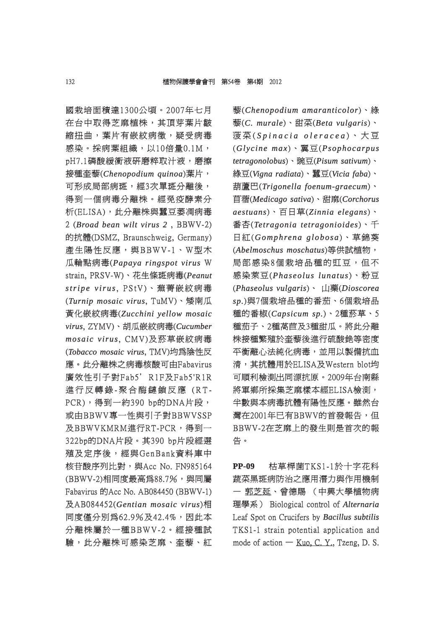國栽培面積達1300公頃。2007年七月 栽培面積達1300公頃。2007年七月 在台中取得芝麻植株,其頂芽葉片皺 縮扭曲,葉片有嵌紋病徵,疑受病毒 感染。採病葉組織,以10倍量0.1M, pH7.1磷酸緩衝液研磨粹取汁液, 磨擦 接種奎藜(*Chenopodium quinoa henopodium* )葉片, 可形成局部病斑,經3次單斑分離後, 得到一個病毒分離株。經免疫酵素分 析(ELISA),此分離株與蠶豆萎凋病毒 2 (*Broad bean wilt virus 2*, BBWV-2) 的抗體(DSMZ, Braunschweig, Germany) 抗體(DSMZ, 產生陽性反應,與BBWV-1、W型木 瓜輪點病毒(Papaya ringspot virus W strain, PRSV-W)、花生條斑病毒(Peanut *stripe virus tri p e v ir u s*, PStV)、蕪菁嵌紋病毒 P S tV)、蕪菁嵌紋病毒 (Turnip mosaic virus, TuMV)、矮南瓜 黃化嵌紋病毒(*Zucchini yellow mosaic ucchini virus*, ZYMV)、胡瓜嵌紋病毒( ZYMV)、胡瓜嵌紋病毒(*Cucumber ucumber mosaic virus osaic* , CMV)及菸草嵌紋病毒 CMV)及菸草嵌紋病毒 (*Tobacco mosaic virus obacco* , TMV)均為陰性反 TMV)均為陰性反 應。此分離株之病毒核酸可由Fabavirus 。此分離株之病毒核酸可由Fabavirus 廣效性引子對Fab5' R1F及Fab5'R1R 進行反轉錄-聚合酶鏈鎖反應 (RT-PCR),得到一約390 bp的DNA片段, 或由BBWV專一性與引子對BBWVSSP 由BBWV專一性與引子對BBWVSSP 及BBWVKMRM進行RT-PCR,得到一 BBWVKMRM進行RT-PCR,得到一 322bp的DNA片段。其390 bp片段經選 22bp的DNA片段。其390 殖及定序後,經與GenBank資料庫中 核苷酸序列比對, 與Acc No. FN985164 (BBWV-2)相同度最高為88.7%,與同屬 Fabavirus 的Acc No. AB084450 (BBWV-1) 及AB084452( AB084452(*Gentian mosaic virus entian* )相 同度僅分別爲62.9%及42.4%,因此本 分離株屬於一種BBWV-2。經接種試 驗,此分離株可感染芝麻、奎藜、紅 藜(*Chenopodium amaranticolor henopodium* )、綠 藜(*C. murale .* )、甜菜(*Beta vulgaris eta* )、 菠菜( *Spinacia oleracea p i n a c i a o l e r a c e a*)、大豆 (*Glycine max lycine* )、翼豆(*Psophocarpus sophocarpus tetragonolobus etragonolobus*)、豌豆(*Pisum sativum isum* )、 綠豆(Vigna radiata)、蠶豆(Vicia faba)、 葫蘆巴(*Trigonella foenum-graecum rigonella* )、 苜蓿(*Medicago sativa edicago* )、甜麻(*Corchorus orchorus aestuans estuans*)、百日草(*Zinnia elegans innia* )、 番杏(Tetragonia tetragonioides)、千 日紅(*Gomphrena globosa omphrena* )、草錦葵 (*Abelmoschus moschatus belmoschus* )等供試植物, 局部感染8個栽培品種的豇豆,但不 感染萊豆(*Phaseolus lunatus haseolus* )、粉豆 (*Phaseolus vulgaris haseolus* )、 山藥(*Dioscorea ioscorea*  sp.)與7個栽培品種的番茄、6個栽培品 種的番椒(*Capsicum sp. apsicum* )、2種菸草、5 、2種菸草、5 種茄子、2種萵苣及3種甜瓜。將此分離 株接種繁殖於奎藜後進行硫酸銫等密度 平衡離心法純化病毒,並用以製備抗血 清,其抗體用於ELISA及Western blot均 可順利檢測出同源抗原。2009年台南縣 將軍鄉所採集芝麻樣本經ELISA檢測, 半數與本病毒抗體有陽性反應。雖然台 灣在2001年已有BBWV的首發報告,但 BBWV-2在芝麻上的發生則是首次的報 告。

**PP-09** 枯草桿菌TKS1-1於十字花科 蔬菜黑斑病防治之應用潛力與作用機制 一 郭芝延、曾德賜 (中興大學植物病 理學系) Biological control of *Alternaria* Leaf Spot on Crucifers by *Bacillus subtilis* TKS1-1 strain potential application and mode of action  $-$  Kuo, C. Y., Tzeng, D. S.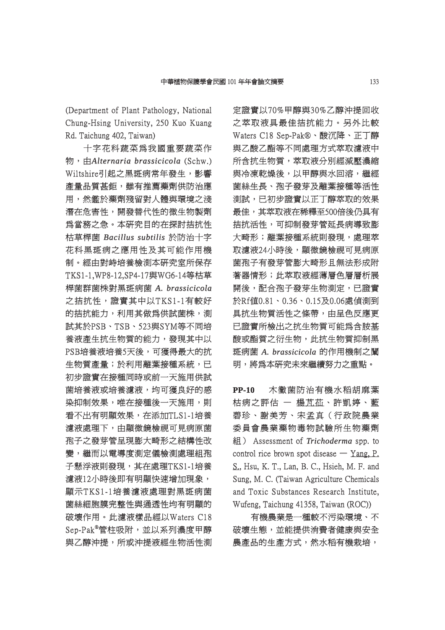(Department of Plant Pathology, National Chung-Hsing University, 250 Kuo Kuang Rd. Taichung 402, Taiwan)

十字花科蔬菜爲我國重要蔬菜作 物,由*Alternaria brassicicola lternaria brassicicola*(Schw.) Wiltshire引起之黑斑病常年發生,影響 產量品質甚鉅,雖有推薦藥劑供防治應 用,然鑑於藥劑殘留對人體與環境之淺 潛在危害性,開發替代性的微生物製劑 為當務之急。本研究目的在探討拮抗性 枯草桿菌 *Bacillus subtilis acillus* 於防治十字 花科黑斑病之應用性及其可能作用機 制。經由對峙培養檢測本研究室所保存 TKS1-1,WP8-12,SP4-17與WG6-14等枯草 桿菌群菌株對黑斑病菌 菌群菌株對黑斑病菌 *A. brassicicola .*  之拮抗性,證實其中以TKS1-1有較好 的拮抗能力,利用其做為供試菌株,測 試其於PSB、TSB、523與SYM等不同培 其於PSB、TSB、523與SYM等不同培 養液產生抗生物質的能力,發現其中以 PSB培養液培養5天後,可獲得最大的抗 生物質產量;於利用離葉接種系統,已 初步證實在接種同時或前一天施用供試 菌培養液或培養濾液,均可獲良好的感 染抑制效果,唯在接種後一天施用,則 看不出有明顯效果,在添加TLS1-1培養 濾液處理下,由顯微鏡檢視可見病原菌 孢子之發芽管呈現膨大畸形之結構性改 變,繼而以電導度測定儀檢測處理組孢 子懸浮液則發現,其在處理TKS1-1培養 濾液12小時後即有明顯快速增加現象, 顯示TKS1-1培養濾液處理對黑斑病菌 示TKS1-1培養濾液處理對黑斑病菌 菌絲細胞膜完整性與通透性均有明顯的 破壞作用。此濾液樣品經以Waters C18 Sep-Pak®管柱吸附,並以系列濃度甲醇 與乙醇沖提,所或沖提液經生物活性測 定證實以70%甲醇與30%乙醇沖提回收 之萃取液具最佳拮抗能力。另外比較 Waters C18 Sep-Pak®、酸沉降、正丁醇 與乙酸乙酯等不同處理方式萃取濾液中 所含抗生物質,萃取液分別經減壓濃縮 與冷凍乾燥後,以甲醇與水回溶,繼經 菌絲生長、孢子發芽及離葉接種等活性 測試,已初步證實以正丁醇萃取的效果 最佳,其萃取液在稀釋至500倍後仍具有 拮抗活性,可抑制發芽管延長病導致膨 大畸形;離葉接種系統則發現,處理萃 取濾液24小時後,顯微鏡檢視可見病原 菌孢子有發芽管膨大畸形且無法形成附 著器情形;此萃取液經薄層色層層析展 開後,配合孢子發芽生物測定,已證實 於Rf値0.81、0.36、0.15及0.06處偵測到 具抗生物質活性之條帶,由呈色反應更 已證實所檢出之抗生物質可能爲含胺基 酸或酯質之衍生物,此抗生物質抑制黑 斑病菌 *A. brassicicola .* 的作用機制之闡 明,將為本研究未來繼續努力之重點。

**PP-10** 木黴菌防治有機水稻胡麻葉 枯病之評估 — 楊芃苮、許凱婷、藍 碧珍、謝美芳、宋孟真(行政院農業 珍、謝美芳、宋孟真(行政院農業 委員會農業藥物毒物試驗所生物藥劑 **組)** Assessment of *Trichoderma* spp. to control rice brown spot disease  $-$  Yang, P. S., Hsu, K. T., Lan, B. C., Hsieh, M. F. and Sung, M. C. (Taiwan Agriculture Chemicals and Toxic Substances Research Institute, Wufeng, Taichung 41358, Taiwan (ROC))

有機農業是一種較不污染環境、不 破壞生態,並能提供消費者健康與安全 農產品的生產方式,然水稻有機栽培,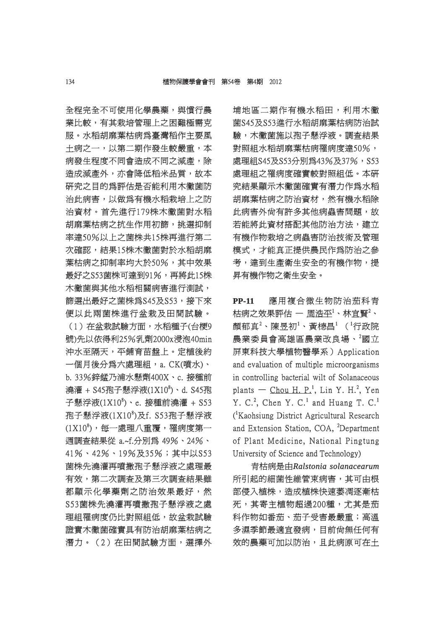全程完全不可使用化學農藥,與慣行農 業比較,有其栽培管理上之困難極需克 服。水稻胡麻葉枯病為臺灣稻作主要風 土病之一,以第二期作發生較嚴重,本 病發生程度不同會浩成不同之減產,除 造成減產外,亦會降低稻米品質,故本 研究之目的為評估是否能利用木黴菌防 治此病害,以做為有機水稻栽培上之防 治資材。首先淮行179株木黴菌對水稻 胡麻葉枯病之抗生作用初篩,挑選抑制 率達50%以上之菌株共15株再進行第二 次確認,結果15株木黴菌對於水稻胡麻 葉枯病之抑制率均大於50%,其中效果 最好之S53菌株可達到91%,再將此15株 木黴菌與其他水稻相關病害進行測試, 篩選出最好之菌株為S45及S53,接下來 便以此兩菌株進行盆栽及田間試驗。

(1) 在盆栽試驗方面,水稻種子(台梗9 號)先以依得利25%乳劑2000x浸泡40min 沖水至隔天,平鋪育苗盤上。定植後約 一個月後分爲六處理組,a. CK(噴水)、 b. 33%鋅錳乃浦水懸劑400X、c. 接種前 . 澆灌 + S45孢子懸浮液(1X10<sup>8</sup>)、d. S45孢 子懸浮液 $(1X10^8)$ 、e. 接種前澆灌 + S53 孢子懸浮液(1X10<sup>8</sup>)及f. S53孢子懸浮液  $(1X10^8)$ ,每一處理八重覆,罹病度第一 週調查結果從 a.~f.分別為 49%、24%、 調查結果從 41%、42%、19%及35%;其中以S53 菌株先澆灌再噴撒孢子懸浮液之處理最 有效,第二次調査及第三次調査結果雖 都顯示化學藥劑之防治效果最好,然 S53菌株先澆灌再噴撒孢子懸浮液之處 理組罹病度仍比對照組低,故盆栽試驗 證實本黴菌確實具有防治胡麻葉枯病之 潛力。(2)在田間試驗方面,選擇外 埔地區二期作有機水稻田,利用木黴 地區二期作有機水稻田,利用木黴 菌S45及S53進行水稻胡麻葉枯病防治試 驗,木黴菌施以孢子懸浮液。調杳結果 對照組水稻胡麻葉枯病罹病度達50%, 處理組S45及S53分別為43%及37%,S53 理組S45及S53分別為43%及37%,S53 處理組之罹病度確實較對照組低。本研 究結果顯示木黴菌確實有潛力作爲水稻 胡麻葉枯病之防治資材,然有機水稻除 此病害外尚有許多其他病蟲害問題,故 若能將此資材搭配其他防治方法,建立 有機作物栽培之病蟲害防治技術及管理 模式,才能真正提供農民作為防治之參 考,達到生產衛生安全的有機作物,提 昇有機作物之衛生安全。

**PP-11** 應用複合微生物防治茄科青 枯病之效果評估 一 周浩平 $^{\rm l}$ 、林宜賢 $^{\rm 2}$ 、 顏郁真 $^2$ 、陳昱初 $^1$ 、黃槵昌 $^1$ ( $^1$ 行政院 農業委員會高雄區農業改良場、2國立 屏東科技大學植物醫學系) Application and evaluation of multiple microorganisms in controlling bacterial wilt of Solanaceous plants — Chou H. P.<sup>1</sup>, Lin Y. H.<sup>2</sup>, Yen Y. C.<sup>2</sup>, Chen Y. C.<sup>1</sup> and Huang T. C.<sup>1</sup> <sup>(</sup>Kaohsiung District Agricultural Research and Extension Station, COA, <sup>2</sup>Department of Plant Medicine, National Pingtung f University of Science and Technology)

青枯病是由*Ralstonia solanacearum alstonia*  所引起的細菌性維管束病害,其可由根 部侵入植株,造成植株快速萎凋逐漸枯 死,其寄主植物超過200種,尤其是茄 科作物如番茄、茄子受害最嚴重;高溫 多濕季節最適宜發病,目前尙無任何有 效的農藥可加以防治,且此病原可在土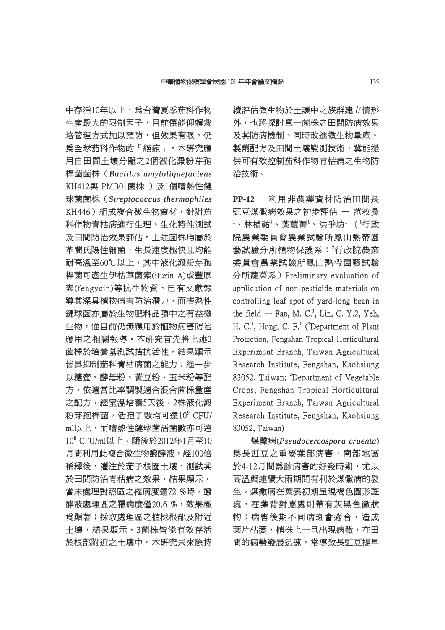中存活10年以上,為台灣夏季茄科作物 生產最大的限制因子,目前僅能仰賴栽 培管理方式加以預防,但效果有限,仍 爲全球茄科作物的「絕症」。本研究應 用自田間土壤分離之2個液化澱粉芽孢 桿菌菌株(*Bacillus amyloliquefaciens acillus*  KH412與 PMB01菌株 )及1個嗜熱性鏈 球菌菌株 (*Streptococcus thermophiles* KH446)組成複合微生物資材,針對茄 科作物青枯病進行生理、生化特性測試 及田間防治效果評估。上述菌株均屬於 革蘭氏陽性細菌,生長速度極快且均能 耐高溫至60℃以上,其中液化澱粉芽孢 桿菌可產生伊枯草菌素(iturin A)或豐原 素(fengycin)等抗生物質,已有文獻報 導其深具植物病害防治潛力,而嗜熱性 鏈球菌亦屬於生物肥料品項中之有益微 生物,惟目前仍無應用於植物病害防治 應用之相關報導。本研究首先將上述3 菌株於培養基測試拮抗活性,結果顯示 皆具抑制茄科青枯病菌之能力;進一步 以糖蜜、酵母粉、黄豆粉、玉米粉等配 方,依適當比率調製適合混合菌株量產 之配方,經室溫培養5天後,2株液化澱 粉芽孢桿菌,活孢子數均可達 $10^9\,$ CFU/ ml以上,而嗜熱性鏈球菌活菌數亦可達 10<sup>8</sup> CFU/ml以上。隨後於2012年1月至10 月間利用此複合微生物醱酵液,經100倍 稀釋後,灌注於茄子根圈土壤,測試其 於田間防治青枯病之效果,結果顯示, 當未處理對照區之罹病度達72 %時,醱 酵液處理區之罹病度僅20.6 %,效果極 為顯著;採取處理區之植株根部及附近 土壤,結果顯示,3菌株皆能有效存活 於根部附近之土壤中。本研究未來除持 續評估微生物於土讓中之族群建立情形 外,也將探討單一菌株之田間防病效果 及其防病機制。同時改進微生物量產、 製劑配方及田間土壤監測技術,冀能提 供可有效控制茄科作物青枯病之生物防 治技術。

**PP-12** 利用非農藥資材防治田間長 豇豆煤黴病效果之初步評估 一 范敉晨  $^1$ 、林楨祐 $^2$ 、葉蕙菁 $^1$ 、洪爭坊 $^1$ ( '行政 院農業委員會農業試驗所鳳山熱帶園 藝試驗分所植物保護系;<sup>2</sup>行政院農業 委員會農業試驗所鳳山熱帶園藝試驗 分所蔬菜系) Preliminary evaluation of application of non-pesticide materials on controlling leaf spot of yard-long bean in the field  $-$  Fan, M. C.<sup>1</sup>, Lin, C. Y.2, Yeh, H. C.<sup>1</sup>, Hong, C. F.<sup>1</sup> (<sup>1</sup>Department of Plant Protection, Fengshan Tropical Horticultural Experiment Branch, Taiwan Agricultural Research Institute, Fengshan, Kaohsiung 83052, Taiwan; <sup>2</sup>Department of Vegetable Crops, Fengshan Tropical Horticultural Experiment Branch, Taiwan Agricultural Research Institute, Fengshan, Kaohsiung 83052, Taiwan)

煤黴病(*Pseudocercospora cruenta seudocercospora* ) 為長豇豆之重要葉部病害,南部地區 於4-12月間爲該病害的好發時期,尤以 高溫與連續大雨期間有利於煤黴病的發 生。煤黴病在葉表初期呈現褐色圓形斑 塊,在葉背對應處則帶有灰黑色黴狀 物;病害後期不同病斑會癒合,造成 葉片枯萎,植株上一旦出現病徵,在田 間的病勢發展迅速,常導致長豇豆提早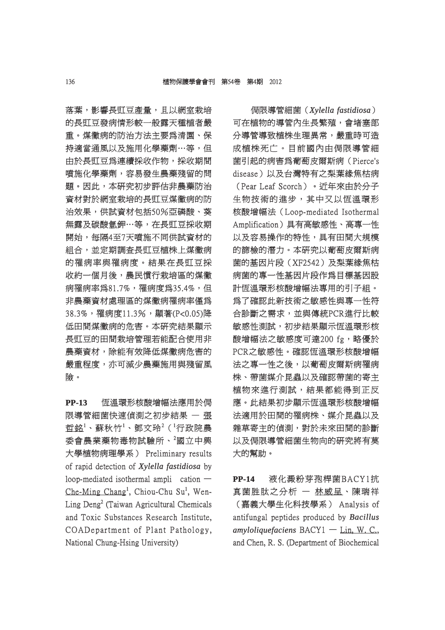落葉,影響長豇豆產量,且以網室栽培 的長豇豆發病情形較一般露天種植者嚴 重。煤黴病的防治方法主要為清園、保 。煤黴病的防治方法主要為清園、保 持適當通風以及施用化學藥劑…等,但 由於長豇豆為連續採收作物,採收期間 噴施化學藥劑,容易發生農藥殘留的問 題。因此,本研究初步評估非農藥防治 資材對於網室栽培的長豇豆煤黴病的防 治效果,供試資材包括50%亞磷酸、葵 效果,供試資材包括50%亞磷酸、葵 無露及碳酸氫鉀…等,在長豇豆採收期 開始,每隔4至7天噴施不同供試資材的 組合,並定期調查長豇豆植株上煤黴病 的罹病率與罹病度。結果在長豇豆採 收約一個月後,農民慣行栽培區的煤黴 病罹病率為81.7%,罹病度為35.4%,但 非農藥資材處理區的煤黴病罹病率僅爲 38.3%,罹病度11.3%,顯著(P<0.05)降 低田間煤黴病的危害。本研究結果顯示 長豇豆的田間栽培管理若能配合使用非 農藥資材,除能有效降低煤黴病危害的 嚴重程度,亦可減少農藥施用與殘留風 險。

**PP-13** 恆溫環形核酸增幅法應用於侷 限導管細菌快速偵測之初步結果 — 張 哲銘 $^1$ 、蘇秋竹 $^1$ 、鄧文玲 $^2$ ( $^1$ 行政院農 委會農業藥物毒物試驗所、<sup>2</sup>國立中興 大學植物病理學系) Preliminary results 學植物病理學系) of rapid detection of *Xylella fastidiosa* by loop-mediated isothermal amplication  $Che-Ming Chang<sup>1</sup>, Chiou-Chu Su<sup>1</sup>, Wen-$ Ling Deng<sup>2</sup> (Taiwan Agricultural Chemicals and Toxic Substances Research Institute. COADepartment of Plant Pathology, National Chung-Hsing University)

侷限導管細菌(*Xylella fastidiosa ylella* ) 可在植物的導管內生長繁殖,會堵塞部 分導管導致植株生理異常,嚴重時可造 成植株死亡。目前國內由侷限導管細 菌引起的病害為葡萄皮爾斯病(Pierce's 引起的病害為葡萄皮爾斯病(Pierce's disease)以及台灣特有之梨葉緣焦枯病 (Pear Leaf Scorch)。近年來由於分子 生物技術的進步,其中又以恆溫環形 核酸增幅法 (Loop-mediated Isothermal Amplification)具有高敏感性、高專一性 mplification)具有高敏感性、高專一性 以及容易操作的特性,具有田間大規模 的篩檢的潛力。本研究以葡萄皮爾斯病 菌的基因片段(XF2542)及梨葉綠焦枯 病菌的專一性基因片段作為目標基因設 計恆溫環形核酸增幅法專用的引子組。 為了確認此新技術之敏感性與專一性符 合診斷之需求,並與傳統PCR進行比較 敏感性測試,初步結果顯示恆溫環形核 酸增幅法之敏感度可達200 fg,略優於 PCR之敏感性。確認恆溫環形核酸增幅 法之專一性之後,以葡萄皮爾斯病罹病 株、帶菌媒介昆蟲以及確認帶菌的寄主 植物來進行測試,結果都能得到正反 應。此結果初步顯示恆溫環形核酸增幅 法適用於田間的罹病株、媒介昆蟲以及 雜草寄主的偵測,對於未來田間的診斷 以及侷限導管細菌生物向的研究將有莫 大的幫助。

**PP-14** 液化澱粉芽孢桿菌BACY1抗 真菌胜肽之分析 一 林威呈、陳瑞祥 (嘉義大學生化科技學系) Analysis of antifungal peptides produced by **Bacillus** *amyloliquefaciens* BACY1 — Lin, W. C., and Chen, R. S. (Department of Biochemical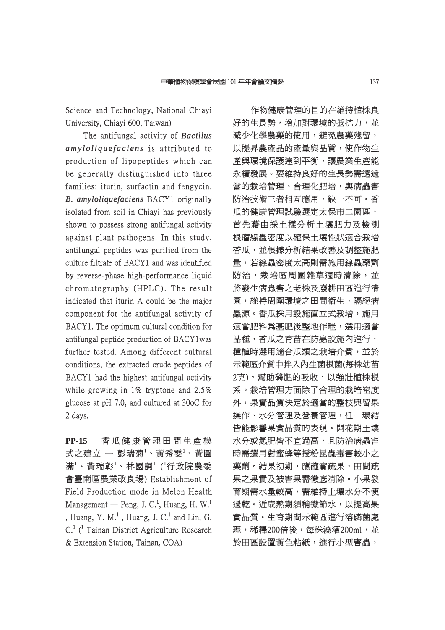Science and Technology, National Chiayi University, Chiayi 600, Taiwan)

The antifungal activity of **Bacillus** *amyloliquefaciens* is attributed to production of lipopeptides which can be generally distinguished into three families: iturin, surfactin and fengycin. *B. amyloliquefaciens* BACY1 originally isolated from soil in Chiavi has previously shown to possess strong antifungal activity against plant pathogens. In this study, antifungal peptides was purified from the culture filtrate of BACY1 and was identified by reverse-phase high-performance liquid chromatography (HPLC). The result indicated that iturin A could be the major component for the antifungal activity of BACY1. The optimum cultural condition for antifungal peptide production of BACY1was further tested. Among different cultural conditions, the extracted crude peptides of BACY1 had the highest antifungal activity while growing in  $1\%$  tryptone and  $2.5\%$ glucose at  $pH$  7.0, and cultured at 30 $pC$  for 2 days.

**PP-15** 香瓜健康管理田間生產模 香 瓜 健 康 管 理 田 間 生 產 模 式之建立 ― 彭瑞菊<sup>1</sup>、黃秀雯<sup>1</sup>、黃圓 滿 $^1\cdot$ 黃瑞彰 $^1\cdot$ 林國詞 $^1$  ( $^1$ 行政院農委 會臺南區農業改良場) Establishment of 臺南區農業改良場) Field Production mode in Melon Health Management — Peng, J. C.<sup>1</sup>, Huang, H. W.<sup>1</sup> , Huang, Y. M.<sup>1</sup>, Huang, J. C.<sup>1</sup> and Lin, G. C.<sup>1</sup> (<sup>1</sup> Tainan District Agriculture Research & Extension Station, Tainan, COA)

作物健康管理的目的在維持植株良 好的生長勢,增加對環境的抵抗力,並 減少化學農藥的使用,避免農藥殘留, 以提昇農產品的產量與品質,使作物生 產與環境保護達到平衡,讓農業生產能 永續發展。要維持良好的生長勢需透適 當的栽培管理、合理化肥培,與病蟲害 防治技術三者相互應用,缺一不可。香 瓜的健康管理試驗選定太保市二園區, 首先藉由採土樣分析土壤肥力及檢測 根瘤線蟲密度以確保土壤性狀適合栽培 香瓜,並根據分析結果改善及調整施肥 量,若線蟲密度太高則需施用線蟲藥劑 防治,栽培區周圍雜草適時清除,並 將發生病蟲害之老株及廢耕田區進行清 園,維持周圍環境之田間衛生,隔絕病 蟲源。香瓜採用設施直立式栽培,施用 適當肥料為基肥後整地作畦,選用適當 品種,香瓜之育苗在防蟲設施內進行, 種植時選用適合瓜類之栽培介質,並於 示範區介質中拌入內生菌根菌(每株幼苗 2克),幫助磷肥的吸收,以強壯植株根 系。栽培管理方面除了合理的栽培密度 。栽培管理方面除了合理的栽培密度 外,果實品質決定於適當的整枝與留果 操作、水分管理及營養管理,任一環結 皆能影響果實品質的表現。開花期土壤 水分或氮肥皆不宜過高,且防治病蟲害 時需選用對蜜蜂等授粉昆蟲毒害較小之 藥劑。結果初期,應確實疏果,田間疏 果之果實及被害果需徹底清除。小果發 育期需水量較高,需維持土壤水分不使 過乾。近成熟期須稍微節水,以提高果 實品質。生育期間示範區進行溶磷菌處 理,稀釋200倍後,每株澆灌200ml,並 於田區設置黃色粘紙,進行小型害蟲,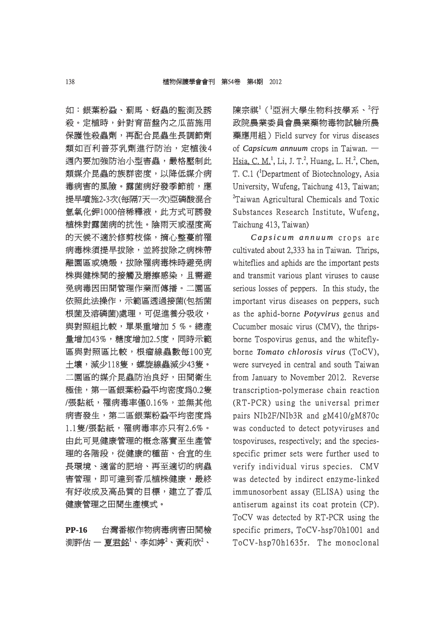如:銀葉粉蝨、薊馬、蚜蟲的監測及誘 殺。定植時,針對育苗盤內之瓜苗施用 保護性殺蟲劑,再配合昆蟲生長調節劑 類如百利普芬乳劑進行防治,定植後4 週內要加強防治小型害蟲,嚴格壓制此 內要加強防治小型害蟲,嚴格壓制此 類媒介昆蟲的族群密度,以降低媒介病 毒病害的風險。露菌病好發季節前,應 提早噴施2-3次(每隔7天一次)亞磷酸混合 氫氧化鉀1000倍稀釋液,此方式可誘發 氧化鉀1000倍稀釋液,此方式可誘發 植株對露菌病的抗性。陰雨天或溼度高 的天候不適於修剪枝條,摘心整蔓前罹 病毒株須提早拔除,並將拔除之病株帶 離園區或燒燬,拔除罹病毒株時避免病 株與健株間的接觸及磨擦感染,且需避 免病毒因田間管理作業而傳播。二園區 依照此法操作,示範區透過接菌(包括菌 根菌及溶磷菌)處理,可促進養分吸收, 與對照組比較,單果重增加 5 %。總產 量增加43%,糖度增加2.5度,同時示範 區與對照區比較,根瘤線蟲數每100克 土壤,減少118隻,螺旋線蟲減少43隻。 二園區的媒介昆蟲防治良好,田間衛生 極佳,第一區銀葉粉蝨平均密度為0.2隻 /張黏紙,罹病毒率僅0.16%,並無其他 病害發生,第二區銀葉粉蝨平均密度為 1.1隻/張黏紙,罹病毒率亦只有2.6%。 由此可見健康管理的概念落實至生產管 理的各階段,從健康的種苗、合宜的生 長環境、適當的肥培、再至適切的病蟲 害管理,即可達到香瓜植株健康,最終 有好收成及高品質的目標,建立了香瓜 健康管理之田間生產模式。

**PP-16** 台灣番椒作物病毒病害田間檢 測評估 ― 夏君銘 $^1\cdot$  李如婷 $^2\cdot$  黃莉欣 $^2\cdot$ 

陳宗祺<sup>1</sup>(『亞洲大學生物科技學系、<sup>2</sup>行 政院農業委員會農業藥物毒物試驗所農 藥應用組) Field survey for virus diseases of *Capsicum annuum* crops in Taiwan. — Hsia, C. M.<sup>1</sup>, Li, J. T.<sup>2</sup>, Huang, L. H.<sup>2</sup>, Chen, T. C.1 (<sup>1</sup>Department of Biotechnology, Asia University, Wufeng, Taichung 413, Taiwan; <sup>2</sup>Taiwan Agricultural Chemicals and Toxic Substances Research Institute, Wufeng, Taichung 413, Taiwan)

*Capsicum annuum* crops are cultivated about 2,333 ha in Taiwan. Thrips, whiteflies and aphids are the important pests and transmit various plant viruses to cause serious losses of peppers. In this study, the important virus diseases on peppers, such as the aphid-borne *Potyvirus* genus and Cucumber mosaic virus (CMV), the thripsborne Tospovirus genus, and the whiteflyborne *Tomato chlorosis virus* (ToCV), were surveyed in central and south Taiwan from January to November 2012. Reverse transcription-polymerase chain reaction  $(RT-PCR)$  using the universal primer pairs NIb2F/NIb3R and  $gM410/gM870c$ was conducted to detect potyviruses and tospoviruses, respectively; and the speciesspecific primer sets were further used to verify individual virus species. CMV was detected by indirect enzyme-linked immunosorbent assay (ELISA) using the antiserum against its coat protein (CP). ToCV was detected by RT-PCR using the specific primers,  $ToCV-hsp70h1001$  and  $ToCV-hsp70h1635r.$  The monoclonal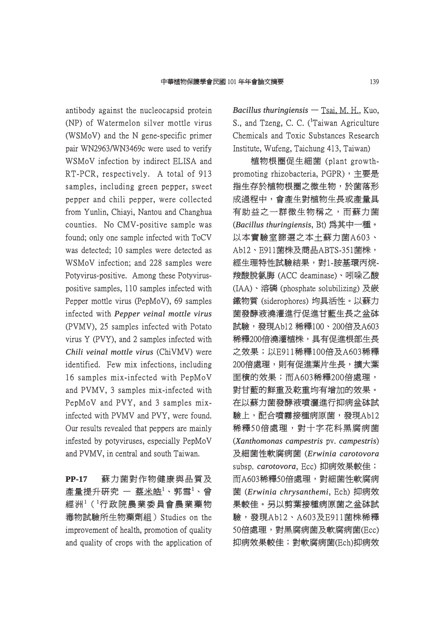antibody against the nucleocapsid protein (NP) of Watermelon silver mottle virus  $(WSMoV)$  and the N gene-specific primer pair WN2963/WN3469c were used to verify WSMoV infection by indirect ELISA and RT-PCR, respectively. A total of 913 samples, including green pepper, sweet pepper and chili pepper, were collected from Yunlin, Chiayi, Nantou and Changhua counties. No CMV-positive sample was found; only one sample infected with ToCV was detected; 10 samples were detected as WSMoV infection; and 228 samples were Potyvirus-positive. Among these Potyviruspositive samples, 110 samples infected with Pepper mottle virus (PepMoV), 69 samples infected with *Pepper veinal mottle virus* (PVMV), 25 samples infected with Potato virus Y (PVY), and  $2$  samples infected with *Chili veinal mottle virus (ChiVMV)* were identified. Few mix infections, including 16 samples mix-infected with PepMoV 6 and PVMV, 3 samples mix-infected with PepMoV and PVY, and 3 samples mixinfected with PVMV and PVY, were found. Our results revealed that peppers are mainly infested by potyviruses, especially PepMoV and PVMV, in central and south Taiwan.

**PP-17** 蘇力菌對作物健康與品質及 産量提升研究 — 蔡<u>米皓</u><sup>1</sup>、郭雪<sup>1</sup>、曾 經洲 $^1$ ( $^1$ 行政院農業委員會農業藥物 毒物試驗所生物藥劑組) Studies on the improvement of health, promotion of quality and quality of crops with the application of *Bacillus thuringiensis* — Tsai, M. H., Kuo, S., and Tzeng, C. C.  $(^1$ Taiwan Agriculture Chemicals and Toxic Substances Research Institute, Wufeng, Taichung 413, Taiwan)

植物根圈促生細菌 (plant growth- 物根圈促生細菌 growthpromoting rhizobacteria,  $PGPR$ ), 主要是 指生存於植物根圈之微生物,於菌落形 成過程中,會產生對植物生長或產量具 有助益之一群微生物稱之,而蘇力菌 (*Bacillus thuringiensis acillus* , Bt) 為其中一種。 為其中一種。 以本實驗室篩選之本土蘇力菌A603、 Ab12、E911菌株及商品ABTS-351菌株, 經生理特性試驗結果,對1-胺基環丙烷-羧酸脫氨脢 (ACC deaminase)、吲哚乙酸 (IAA)、溶磷 (phosphate solubilizing) 及嵌 鐵物質 (siderophores) 均具活性。以蘇力 物質 菌發酵液澆灌進行促進甘藍生長之盆砵 試驗,發現Ab12 稀釋100、200倍及A603 稀釋200倍澆灌植株,具有促進根部生長 之效果;以E911稀釋100倍及A603稀釋 效果;以E911稀釋100倍及A603稀釋 200倍處理,則有促進葉片生長,擴大葉 面積的效果;而A603稀釋200倍處理, 對甘藍的鮮重及乾重均有增加的效果。 在以蘇力菌發酵液噴灑進行抑病盆砵試 驗上,配合噴霧接種病原菌,發現Ab12 稀釋50倍處理,對十字花科黑腐病菌 (*Xanthomonas campestris* pv. *campestris*) 及細菌性軟腐病菌 ( 細菌性軟腐病菌 *Erwinia carotovora rwinia*  subsp. *carotovora arotovora*, Ecc) 抑病效果較佳; 抑病效果較佳; 而A603稀釋50倍處理,對細菌性軟腐病 菌 (*Erwinia chrysanthemi rwinia* , Ech) 抑病效 抑病效 果較佳。另以剪葉接種病原菌之盆砵試 驗,發現Ab12、A603及E911菌株稀釋 50倍處理,對黑腐病菌及軟腐病菌(Ecc) 抑病效果較佳;對軟腐病菌(Ech)抑病效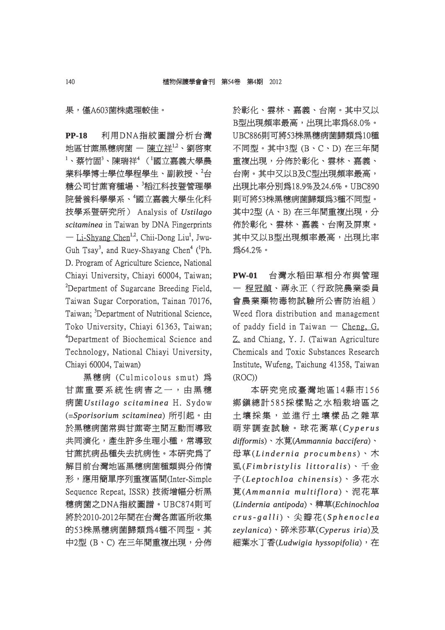果,僅A603菌株處理較佳。

**PP-18** 利用DNA指紋圖譜分析台灣 地區甘蔗黑穗病菌 – 陳立祥 $1,2$ 、劉啓東  $^{\rm 1}$ 、蔡竹固 $^{\rm 3}$ 、陳瑞祥'( $^{\rm 1}$ 國立嘉義大學農 業科學博士學位學程學生、副教授、<sup>2</sup>台 糖公司甘蔗育種場、<sup>3</sup>稻江科技暨管理學 院營養科學學系、 國立嘉義大學生化科 技學系暨研究所) Analysis of 學系暨研究所) *Ustilago stilago scitaminea* in Taiwan by DNA Fingerprints — Li-Shyang Chen<sup>1,2</sup>, Chii-Dong Liu<sup>1</sup>, Jwu-Guh Tsay<sup>3</sup>, and Ruey-Shayang Chen<sup>4</sup> (<sup>1</sup>Ph. D. Program of Agriculture Science, National Chiayi University, Chiayi 60004, Taiwan;  ${}^{2}$ Department of Sugarcane Breeding Field, Taiwan Sugar Corporation, Tainan 70176, Taiwan; <sup>3</sup>Department of Nutritional Science, Toko University, Chiayi 61363, Taiwan; <sup>4</sup>Department of Biochemical Science and Technology, National Chiayi University, Chiayi 60004, Taiwan)

黑穗病 (Culmicolous smut) 為 甘蔗重要系統性病害之一,由黑穗 病菌Ustilago scitaminea H. Sydow (=*Sporisorium scitaminea porisorium* ) 所引起。由 於黑穗病菌常與甘蔗寄主間互動而導致 共同演化,產生許多生理小種,常導致 甘蔗抗病品種失去抗病性。本研究爲了 解目前台灣地區黑穗病菌種類與分佈情 形,應用簡單序列重複區間(Inter-Simple ,應用簡單序列重複區間(Inter-Simple Sequence Repeat, ISSR) 技術增幅分析黑 穗病菌之DNA指紋圖譜。UBC874則可 病菌之DNA指紋圖譜。UBC874則可 將於2010-2012年間在台灣各蔗區所收集 於2010-2012年間在台灣各蔗區所收集 的53株黑穗病菌歸類爲4種不同型。其 中2型 (B、C) 在三年間重複出現,分佈 於彰化、雲林、嘉義、台南。其中又以 B型出現頻率最高,出現比率為68.0%。 UBC886則可將53株黑穗病菌歸類爲10種 不同型。其中3型 (B、C、D) 在三年間 重複出現,分佈於彰化、雲林、嘉義、 台南。其中又以B及C型出現頻率最高, 出現比率分別為18.9%及24.6%。UBC890 則可將53株黑穗病菌歸類爲3種不同型。 其中2型 (A、B) 在三年間重複出現,分 佈於彰化、雲林、嘉義、台南及屏東。 其中又以B型出現頻率最高,出現比率 為64.2%。

**PW-01** 台灣水稻田草相分布與管理 — 程冠禎、蔣永正(行政院農業委員 蔣永正(行政院農業委員 會農業藥物毒物試驗所公害防治組) Weed flora distribution and management of paddy field in Taiwan  $-$  Cheng, G. Z. and Chiang, Y. J. (Taiwan Agriculture Chemicals and Toxic Substances Research Institute, Wufeng, Taichung 41358, Taiwan (ROC))

本研究完成臺灣地區14縣市156 鄉鎮總計585採樣點之水稻栽培區之 土壤採集,並進行土壤樣品之雜草 壤 採 集 , 並 進 行 土 壤 樣 品 之 雜 草 商芽調查試驗。球花蒿草(Cyperus *difformis ifformis*)、水莧(*Ammannia baccifera mmannia* )、  $\bigoplus$ 草(Lindernia procumbens)、木  $\mathbb{\overline{R}}$ (*Fimbristylis littoralis*)、千金 子 (*Leptochloa chinensis e p t o c h l o a c h i n e n sis*)、多花水 莧 (*Ammannia multiflora mma n n i a mu l t i f l o r a*)、泥花草 (*Lindernia antipoda indernia* )、稗草(*Echinochloa chinochloa crus-galli r u s- g a l l i*)、尖瓣花( *S p h e n o c l e a p h e n o c l e zeylanica eylanica*)、碎米莎草(*Cyperus iria yperus* )及 細葉水丁香(Ludwigia hyssopifolia), 在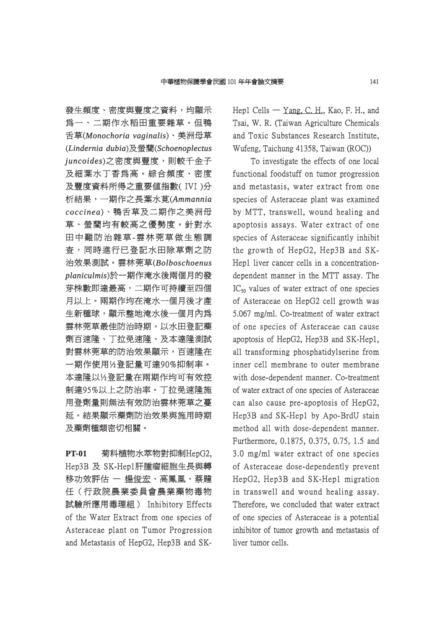發生頻度、密度與豐度之資料,均顯示 爲一、二期作水稻田重要雜草。但鴨 舌草(*Monochoria vaginalis onochoria* )、美洲母草 (*Lindernia dubia indernia* )及螢藺(*Schoenoplectus choenoplectus*   $i$ *uncoides*)之密度與豐度,則較千金子 及細葉水丁香爲高。綜合頻度、密度 及豐度資料所得之重要值指數( IVI )分 豐度資料所得之重要值指數( 析結果,一期作之長葉水莧( 結果,一期作之長葉水莧(*Ammannia mmannia coccinea occinea*)、鴨舌草及二期作之美洲母 、鴨舌草及二期作之美洲母 草、螢藺均有較高之優勢度。針對水 田中難防治雜草-雲林莞草做生態調 查,同時進行已登記水田除草劑之防 治效果測試。雲林莞草(Bolboschoenus *planiculmis laniculmis*)於一期作淹水後兩個月的發 於一期作淹水後兩個月的發 芽株數即達最高,二期作可持續至四個 月以上。兩期作均在淹水一個月後才產 生新種球,顯示整地淹水後一個月內為 雲林莞草最佳防治時期。以水田登記藥 劑百速隆、丁拉免速隆、及本達隆測試 對雲林莞草的防治效果顯示,百速隆在 一期作使用½登記量可達90%抑制率。 本達隆以½登記量在兩期作均可有效控 制達95%以上之防治率。丁拉免速隆施 用登劑量則無法有效防治雲林莞草之蔓 延。結果顯示藥劑防治效果與施用時期 及藥劑種類密切相關。

**PT-01** 菊科植物水萃物對抑制HepG2, Hep3B 及 SK-Hep1肝腫瘤細胞生長與轉 移功效評估 — 楊俊宏、高鳳凰、蔡韙 任(行政院農業委員會農業藥物毒物 試驗所應用毒理組) Inhibitory Effects 驗所應用毒理組) of the Water Extract from one species of Asteraceae plant on Tumor Progression and Metastasis of HepG2, Hep3B and SK-

Hep1 Cells  $-$  Yang, C. H., Kao, F. H., and Tsai, W. R. (Taiwan Agriculture Chemicals and Toxic Substances Research Institute, Wufeng, Taichung 41358, Taiwan (ROC))

To investigate the effects of one local functional foodstuff on tumor progression and metastasis, water extract from one species of Asteraceae plant was examined by MTT, transwell, wound healing and apoptosis assays. Water extract of one species of Asteraceae significantly inhibit the growth of HepG2, Hep3B and  $SK-$ Hep1 liver cancer cells in a concentrationdependent manner in the MTT assay. The  $IC_{50}$  values of water extract of one species of Asteraceae on HepG2 cell growth was f  $5.067$  mg/ml. Co-treatment of water extract of one species of Asteraceae can cause f apoptosis of HepG2, Hep3B and SK-Hep1, all transforming phosphatidylserine from inner cell membrane to outer membrane with dose-dependent manner. Co-treatment of water extract of one species of Asteraceae can also cause pre-apoptosis of HepG2, Hep3B and SK-Hep1 by Apo-BrdU stain method all with dose-dependent manner. Furthermore, 0.1875, 0.375, 0.75, 1.5 and  $3.0$  mg/ml water extract of one species of Asteraceae dose-dependently prevent HepG2, Hep3B and SK-Hep1 migration in transwell and wound healing assay. Therefore, we concluded that water extract of one species of Asteraceae is a potential f inhibitor of tumor growth and metastasis of liver tumor cells.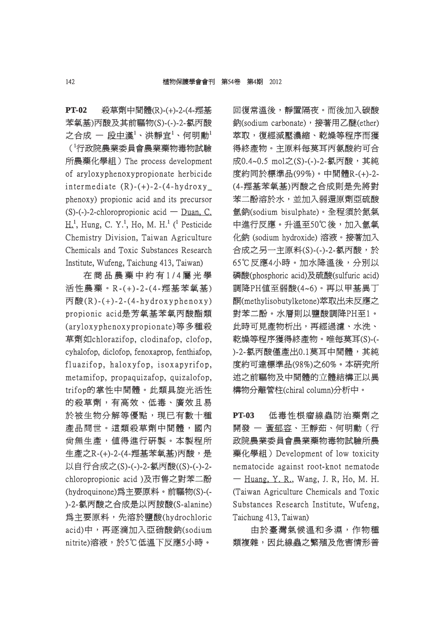**PT-02** 殺草劑中間體(R)-(+)-2-(4-羥基 苯氧基)丙酸及其前驅物(S)-(-)-2-氯丙酸 之合成 ― 段中漢 $^1\cdot$  洪靜宜 $^1\cdot$  何明勳 $^1$ (<sup>1</sup> 行政院農業委員會農業藥物毒物試驗 政院農業委員會農業藥物毒物試驗 所農藥化學組) The process development of aryloxyphenoxypropionate herbicide f intermediate  $(R)-(+)$ -2- $(4-hy$  d rox y phenoxy) propionic acid and its precursor  $(S)$ -(-)-2-chloropropionic acid — Duan, C.  $H<sup>1</sup>$ , Hung, C. Y.<sup>1</sup>, Ho, M. H.<sup>1</sup> (<sup>1</sup> Pesticide Chemistry Division, Taiwan Agriculture Chemicals and Toxic Substances Research Institute, Wufeng, Taichung 413, Taiwan)

在商品農藥中約有1/4屬光學 活性農藥。R-(+)-2-(4-羥基苯氧基) 性農藥。R-( + )- 2 -( 4 -羥基苯氧基)  $\overline{P}$ 酸(R)-(+) - 2 - (4-hydroxyphenoxy) propionic acid是芳氧基苯氧丙酸酯類 (aryloxyphenoxypropionate)等多種殺 草劑如chlorazifop, clodinafop, clofop, cyhalofop, diclofop, fenoxaprop, fenthiafop, fluazifop, haloxyfop, isoxapyrifop, metamifop, propaquizafop, quizalofop, trifop的掌性中間體。此類具旋光活性 rifop的掌性中間體。此類具旋光活性 的殺草劑,有高效、低毒、廣效且易 於被生物分解等優點,現已有數十種 產品問世。這類殺草劑中間體,國內 尚無生產,值得進行研製。本製程所 生產之R-(+)-2-(4-羥基苯氧基)丙酸,是 以自行合成之(S)-(-)-2-氯丙酸((S)-(-)-2chloropropionic acid )及市售之對苯二酚 (hydroquinone)為主要原料。前驅物(S)-(- hydroquinone)為主要原料。前驅物(S)-(- )-2-氯丙酸之合成是以丙胺酸(S-alanine) -2-氯丙酸之合成是以丙胺酸(S-alanine) 為主要原料,先溶於鹽酸(hydrochloric 主要原料,先溶於鹽酸(hydrochloric acid)中,再逐滴加入亞硝酸鈉(sodium nitrite)溶液,於5℃低溫下反應5小時。

回復常溫後,靜置隔夜。而後加入碳酸 鈉(sodium carbonate),接著用乙醚(ether) 萃取,復經減壓濃縮、乾燥等程序而獲 得終產物。主原料每莫耳丙氨酸約可合 成0.4~0.5 mol之(S)-(-)-2-氯丙酸,其純 度約同於標準品(99%)。中間體R-(+)-2- 約同於標準品(99%)。中間體R-(+)-2- (4-羥基苯氧基)丙酸之合成則是先將對 4-羥基苯氧基)丙酸之合成則是先將對 苯二酚溶於水,並加入弱還原劑亞硫酸 氫鈉(sodium bisulphate)。全程須於氮氣 鈉(sodium 中進行反應。升溫至50℃後,加入氫氧 化鈉 (sodium hydroxide) 溶液。接著加入 合成之另一主原料(S)-(-)-2-氯丙酸,於 65℃反應4小時。加水降溫後,分別以 磷酸(phosphoric acid)及硫酸(sulfuric acid) 調降PH值至弱酸(4~6)。再以甲基異丁 酮(methylisobutylketone)萃取出未反應之 (methylisobutylketone)萃取出未反應之 對苯二酚。水層則以鹽酸調降PH至1。 此時可見產物析出,再經過濾、水洗、 乾燥等程序獲得終產物。唯每莫耳(S)-(-)-2-氯丙酸僅產出0.1莫耳中間體,其純 度約可達標準品(98%)之60%。本研究所 述之前驅物及中間體的立體結構正以異 構物分離管柱(chiral column)分析中。

**PT-03** 低毒性根瘤線蟲防治藥劑之 開發 - 黃郁容、王靜茹、何明勳(行 政院農業委員會農業藥物毒物試驗所農 藥化學組) Development of low toxicity nematocide against root-knot nematode  $-$  Huang, Y. R., Wang, J. R, Ho, M. H. (Taiwan Agriculture Chemicals and Toxic Substances Research Institute, Wufeng, Taichung 413, Taiwan)

由於臺灣氣候溫和多濕,作物種 類複雜,因此線蟲之繁殖及危害情形普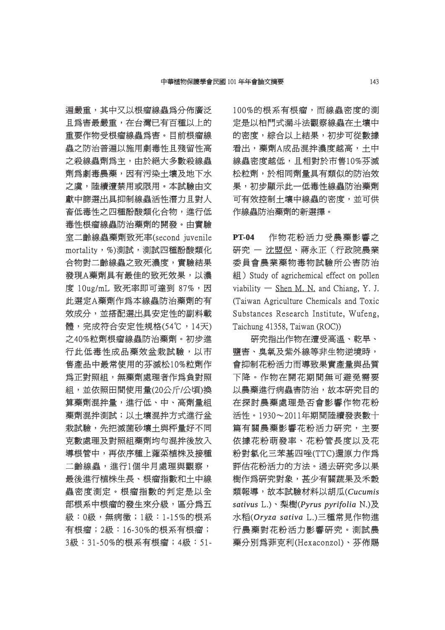遍嚴重,其中又以根瘤線蟲爲分佈廣泛 且為害最嚴重,在台灣已有百種以上的 重要作物受根瘤線蟲為害。目前根瘤線 蟲之防治普遍以施用劇毒性且殘留性高 之殺線蟲劑為主,由於絕大多數殺線蟲 劑為劇毒農藥,因有污染土壤及地下水 之慮,陸續漕禁用或限用。本試驗由文 獻中篩選出具抑制線蟲活性潛力且對人 畜低毒性之四種酚酸類化合物,進行低 毒性根瘤線蟲防治藥劑的開發。由實驗 室二齡線蟲藥劑致死率(second juvenile 二齡線蟲藥劑致死率(second mortality,%)測試,測試四種酚酸類化 合物對二齡線蟲之致死濃度,實驗結果 發現A藥劑具有最佳的致死效果,以濃 度 10ug/mL 致死率即可達到 87%,因 此選定A藥劑作爲本線蟲防治藥劑的有 效成分,並搭配選出具安定性的副料載 體,完成符合安定性規格(54℃,14天) 之40%粒劑根瘤線蟲防治藥劑。初步進 行此低毒性成品藥效盆栽試驗,以市 此低毒性成品藥效盆栽試驗,以市 售產品中最常使用的芬滅松10%粒劑作 為正對照組,無藥劑處理者作爲負對照 組,並依照田間使用量(20公斤/公頃)換 算藥劑混拌量,進行低、中、高劑量組 藥劑混拌測試;以土壤混拌方式進行盆 栽試驗,先把滅菌砂壤土與秤量好不同 克數處理及對照組藥劑均勻混拌後放入 導根管中,再依序種上蕹菜植株及接種 二齡線蟲,進行1個半月處理與觀察, 最後進行植株生長、根瘤指數和土中線 蟲密度測定。根瘤指數的判定是以全 部根系中根瘤的發生來分級,區分為五 級:0級,無病徵;1級:1-15%的根系 有根瘤;2級:16-30%的根系有根瘤; 根瘤;2級:16-30%的根系有根瘤; 3級:31-50%的根系有根瘤;4級:51- 級:31-50%的根系有根瘤;4級:51100%的根系有根瘤,而線蟲密度的測 定是以柏門式漏斗法觀察線蟲在土壤中 的密度,綜合以上結果,初步可從數據 看出,藥劑A成品混拌濃度越高,土中 線蟲密度越低,且相對於市售10%芬滅 松粒劑,於相同劑量具有類似的防治效 果,初步顯示此一低毒性線蟲防治藥劑 可有效控制土壤中線蟲的密度,並可供 作線蟲防治藥劑的新選擇。

**PT-04** 作物花粉活力受農藥影響之 研究 一 沈盟倪、蔣永正(行政院農業 委員會農業藥物毒物試驗所公害防治 組) Study of agrichemical effect on pollen viability  $-$  Shen M. N. and Chiang, Y. J. (Taiwan Agriculture Chemicals and Toxic Substances Research Institute, Wufeng, Taichung 41358, Taiwan (ROC))

研究指出作物在遭受高溫、乾旱、 鹽害、臭氧及紫外線等非生物逆境時, 會抑制花粉活力而導致果實產量與品質 下降。作物在開花期間無可避免需要 以農藥進行病蟲害防治,故本研究目的 在探討農藥處理是否會影響作物花粉 活性。1930~2011年期間陸續發表數十 篇有關農藥影響花粉活力研究,主要 依據花粉萌發率、花粉管長度以及花 粉對氯化三苯基四唑(TTC)還原力作為 對氯化三苯基四唑(TTC)還原力作為 評估花粉活力的方法。過去研究多以果 樹作為研究對象,甚少有關蔬果及禾穀 類報導,故本試驗材料以胡瓜(Cucumis *sativus* L.)、梨樹(*Pyrus pyrifolia yrus* N.)及 水稻(*Oryza sativa ryza* L.)三種常見作物進 行農藥對花粉活力影響研究。測試農 藥分別為菲克利(Hexaconzol)、芬佈賜 分別為菲克利(Hexaconzol)、芬佈賜